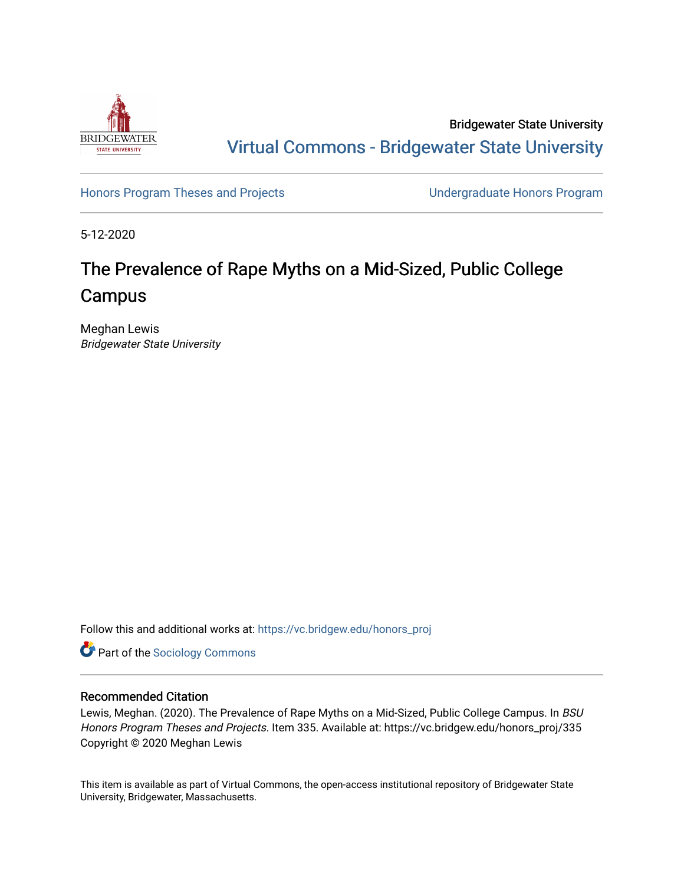

Bridgewater State University [Virtual Commons - Bridgewater State University](https://vc.bridgew.edu/) 

[Honors Program Theses and Projects](https://vc.bridgew.edu/honors_proj) [Undergraduate Honors Program](https://vc.bridgew.edu/honors) 

5-12-2020

# The Prevalence of Rape Myths on a Mid-Sized, Public College Campus

Meghan Lewis Bridgewater State University

Follow this and additional works at: [https://vc.bridgew.edu/honors\\_proj](https://vc.bridgew.edu/honors_proj?utm_source=vc.bridgew.edu%2Fhonors_proj%2F335&utm_medium=PDF&utm_campaign=PDFCoverPages)

**Part of the [Sociology Commons](http://network.bepress.com/hgg/discipline/416?utm_source=vc.bridgew.edu%2Fhonors_proj%2F335&utm_medium=PDF&utm_campaign=PDFCoverPages)** 

# Recommended Citation

Lewis, Meghan. (2020). The Prevalence of Rape Myths on a Mid-Sized, Public College Campus. In BSU Honors Program Theses and Projects. Item 335. Available at: https://vc.bridgew.edu/honors\_proj/335 Copyright © 2020 Meghan Lewis

This item is available as part of Virtual Commons, the open-access institutional repository of Bridgewater State University, Bridgewater, Massachusetts.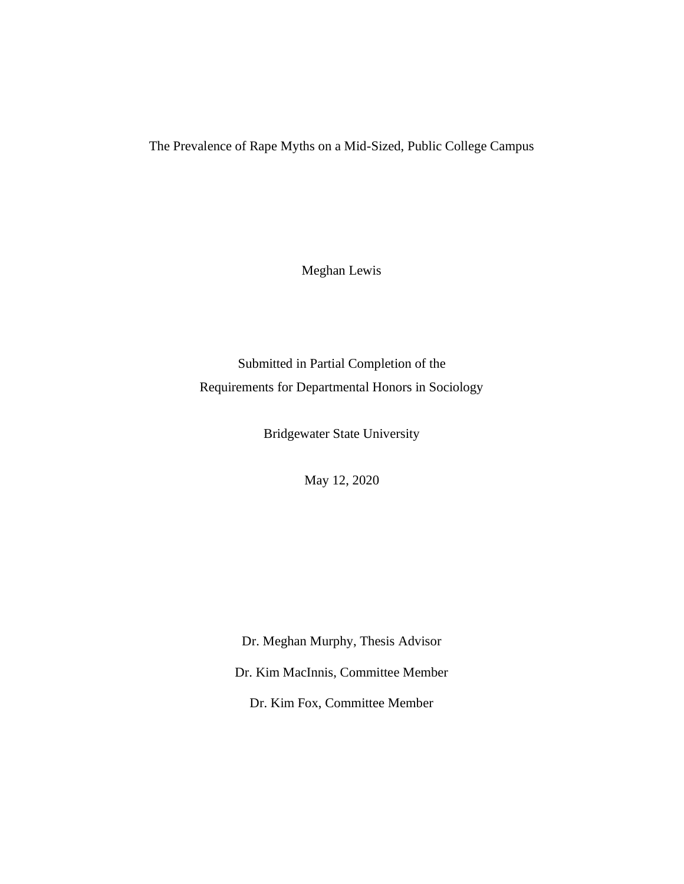The Prevalence of Rape Myths on a Mid-Sized, Public College Campus

Meghan Lewis

Submitted in Partial Completion of the Requirements for Departmental Honors in Sociology

Bridgewater State University

May 12, 2020

Dr. Meghan Murphy, Thesis Advisor Dr. Kim MacInnis, Committee Member Dr. Kim Fox, Committee Member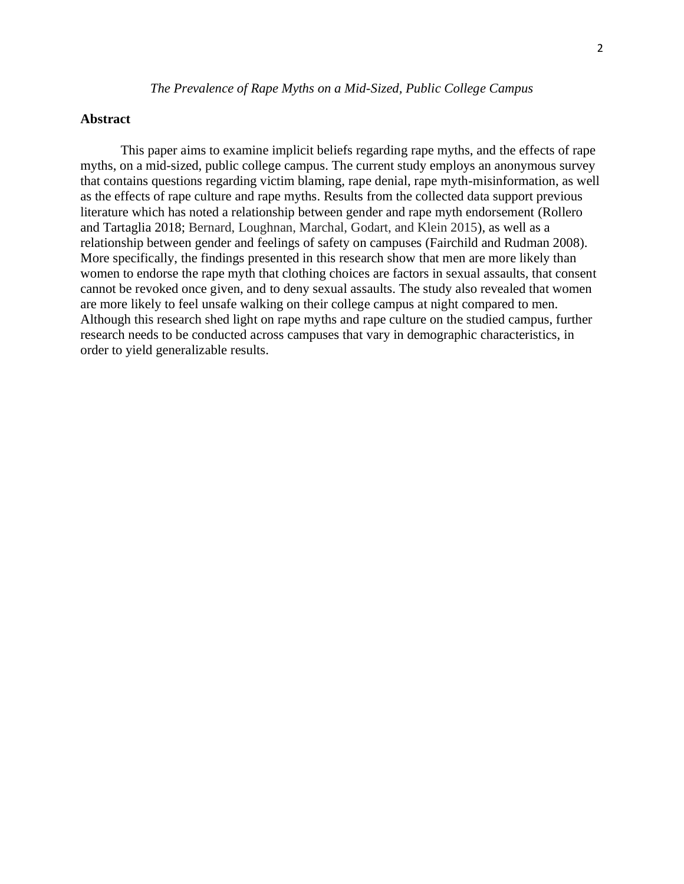# **Abstract**

This paper aims to examine implicit beliefs regarding rape myths, and the effects of rape myths, on a mid-sized, public college campus. The current study employs an anonymous survey that contains questions regarding victim blaming, rape denial, rape myth-misinformation, as well as the effects of rape culture and rape myths. Results from the collected data support previous literature which has noted a relationship between gender and rape myth endorsement (Rollero and Tartaglia 2018; Bernard, Loughnan, Marchal, Godart, and Klein 2015), as well as a relationship between gender and feelings of safety on campuses (Fairchild and Rudman 2008). More specifically, the findings presented in this research show that men are more likely than women to endorse the rape myth that clothing choices are factors in sexual assaults, that consent cannot be revoked once given, and to deny sexual assaults. The study also revealed that women are more likely to feel unsafe walking on their college campus at night compared to men. Although this research shed light on rape myths and rape culture on the studied campus, further research needs to be conducted across campuses that vary in demographic characteristics, in order to yield generalizable results.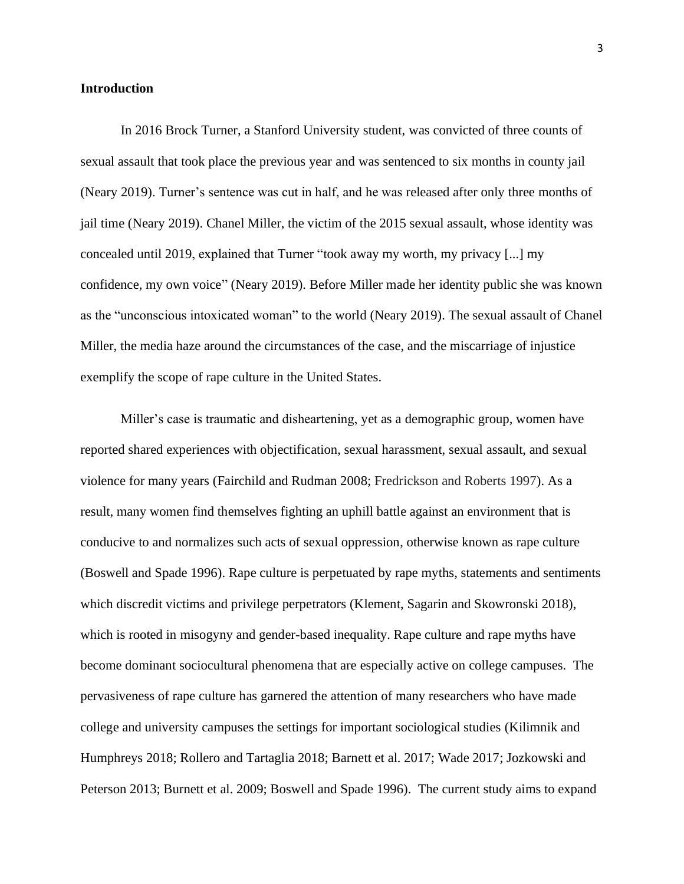# **Introduction**

In 2016 Brock Turner, a Stanford University student, was convicted of three counts of sexual assault that took place the previous year and was sentenced to six months in county jail (Neary 2019). Turner's sentence was cut in half, and he was released after only three months of jail time (Neary 2019). Chanel Miller, the victim of the 2015 sexual assault, whose identity was concealed until 2019, explained that Turner "took away my worth, my privacy [...] my confidence, my own voice" (Neary 2019). Before Miller made her identity public she was known as the "unconscious intoxicated woman" to the world (Neary 2019). The sexual assault of Chanel Miller, the media haze around the circumstances of the case, and the miscarriage of injustice exemplify the scope of rape culture in the United States.

Miller's case is traumatic and disheartening, yet as a demographic group, women have reported shared experiences with objectification, sexual harassment, sexual assault, and sexual violence for many years (Fairchild and Rudman 2008; Fredrickson and Roberts 1997). As a result, many women find themselves fighting an uphill battle against an environment that is conducive to and normalizes such acts of sexual oppression, otherwise known as rape culture (Boswell and Spade 1996). Rape culture is perpetuated by rape myths, statements and sentiments which discredit victims and privilege perpetrators (Klement, Sagarin and Skowronski 2018), which is rooted in misogyny and gender-based inequality. Rape culture and rape myths have become dominant sociocultural phenomena that are especially active on college campuses. The pervasiveness of rape culture has garnered the attention of many researchers who have made college and university campuses the settings for important sociological studies (Kilimnik and Humphreys 2018; Rollero and Tartaglia 2018; Barnett et al. 2017; Wade 2017; Jozkowski and Peterson 2013; Burnett et al. 2009; Boswell and Spade 1996). The current study aims to expand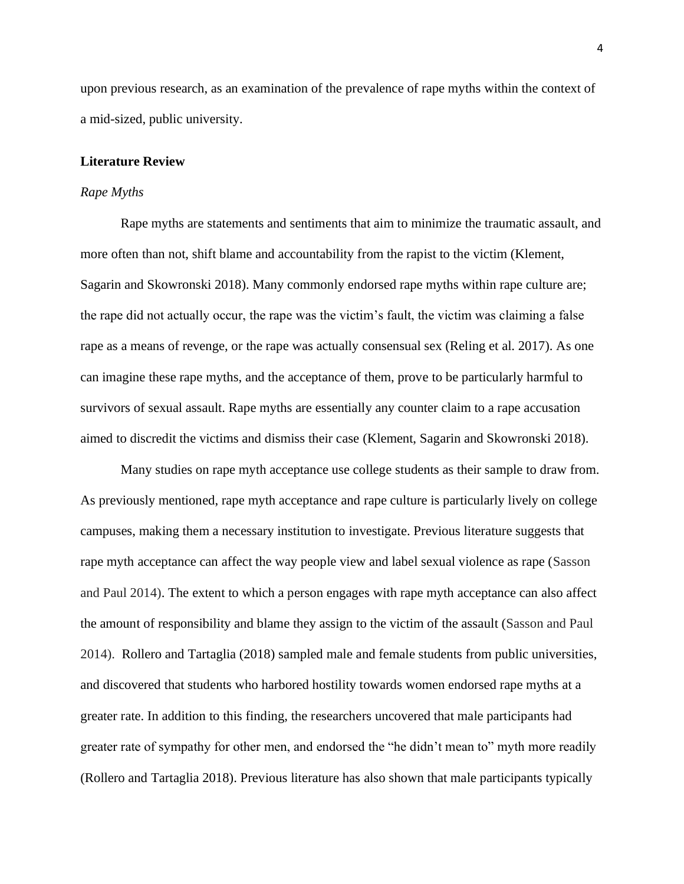upon previous research, as an examination of the prevalence of rape myths within the context of a mid-sized, public university.

#### **Literature Review**

#### *Rape Myths*

Rape myths are statements and sentiments that aim to minimize the traumatic assault, and more often than not, shift blame and accountability from the rapist to the victim (Klement, Sagarin and Skowronski 2018). Many commonly endorsed rape myths within rape culture are; the rape did not actually occur, the rape was the victim's fault, the victim was claiming a false rape as a means of revenge, or the rape was actually consensual sex (Reling et al. 2017). As one can imagine these rape myths, and the acceptance of them, prove to be particularly harmful to survivors of sexual assault. Rape myths are essentially any counter claim to a rape accusation aimed to discredit the victims and dismiss their case (Klement, Sagarin and Skowronski 2018).

Many studies on rape myth acceptance use college students as their sample to draw from. As previously mentioned, rape myth acceptance and rape culture is particularly lively on college campuses, making them a necessary institution to investigate. Previous literature suggests that rape myth acceptance can affect the way people view and label sexual violence as rape (Sasson and Paul 2014). The extent to which a person engages with rape myth acceptance can also affect the amount of responsibility and blame they assign to the victim of the assault (Sasson and Paul 2014). Rollero and Tartaglia (2018) sampled male and female students from public universities, and discovered that students who harbored hostility towards women endorsed rape myths at a greater rate. In addition to this finding, the researchers uncovered that male participants had greater rate of sympathy for other men, and endorsed the "he didn't mean to" myth more readily (Rollero and Tartaglia 2018). Previous literature has also shown that male participants typically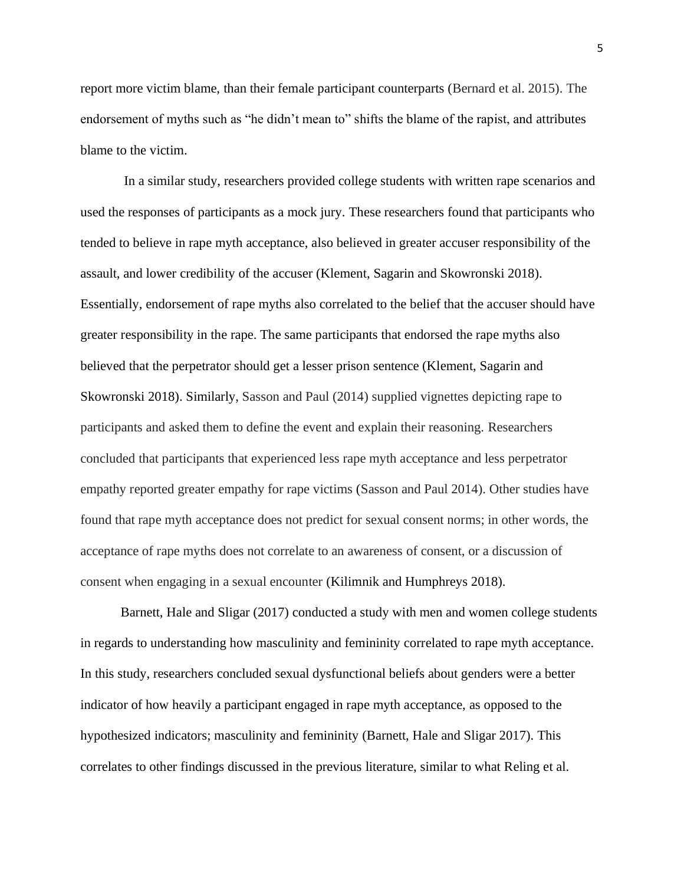report more victim blame, than their female participant counterparts (Bernard et al. 2015). The endorsement of myths such as "he didn't mean to" shifts the blame of the rapist, and attributes blame to the victim.

In a similar study, researchers provided college students with written rape scenarios and used the responses of participants as a mock jury. These researchers found that participants who tended to believe in rape myth acceptance, also believed in greater accuser responsibility of the assault, and lower credibility of the accuser (Klement, Sagarin and Skowronski 2018). Essentially, endorsement of rape myths also correlated to the belief that the accuser should have greater responsibility in the rape. The same participants that endorsed the rape myths also believed that the perpetrator should get a lesser prison sentence (Klement, Sagarin and Skowronski 2018). Similarly, Sasson and Paul (2014) supplied vignettes depicting rape to participants and asked them to define the event and explain their reasoning. Researchers concluded that participants that experienced less rape myth acceptance and less perpetrator empathy reported greater empathy for rape victims (Sasson and Paul 2014). Other studies have found that rape myth acceptance does not predict for sexual consent norms; in other words, the acceptance of rape myths does not correlate to an awareness of consent, or a discussion of consent when engaging in a sexual encounter (Kilimnik and Humphreys 2018).

Barnett, Hale and Sligar (2017) conducted a study with men and women college students in regards to understanding how masculinity and femininity correlated to rape myth acceptance. In this study, researchers concluded sexual dysfunctional beliefs about genders were a better indicator of how heavily a participant engaged in rape myth acceptance, as opposed to the hypothesized indicators; masculinity and femininity (Barnett, Hale and Sligar 2017). This correlates to other findings discussed in the previous literature, similar to what Reling et al.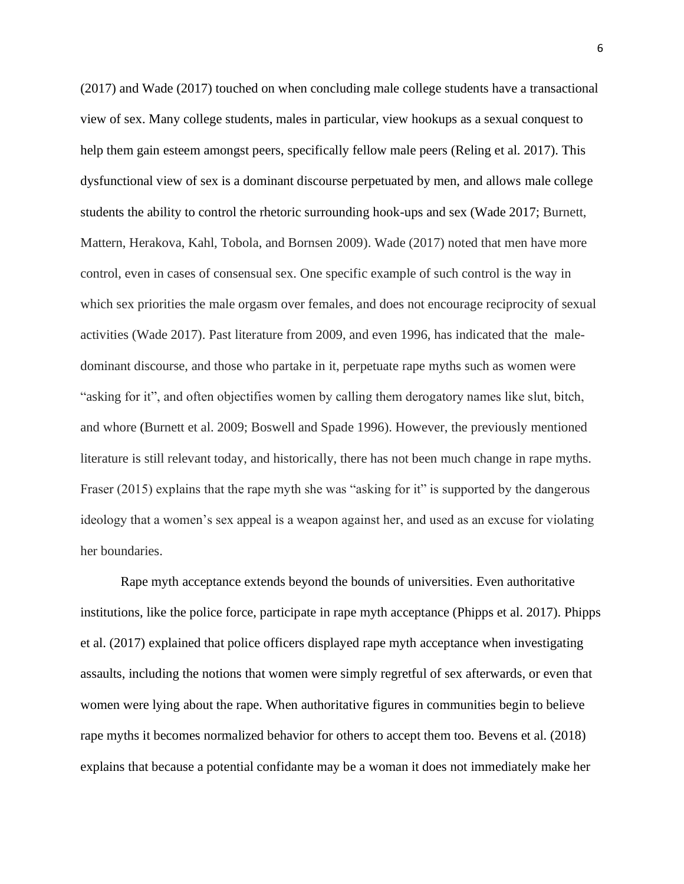(2017) and Wade (2017) touched on when concluding male college students have a transactional view of sex. Many college students, males in particular, view hookups as a sexual conquest to help them gain esteem amongst peers, specifically fellow male peers (Reling et al. 2017). This dysfunctional view of sex is a dominant discourse perpetuated by men, and allows male college students the ability to control the rhetoric surrounding hook-ups and sex (Wade 2017; Burnett, Mattern, Herakova, Kahl, Tobola, and Bornsen 2009). Wade (2017) noted that men have more control, even in cases of consensual sex. One specific example of such control is the way in which sex priorities the male orgasm over females, and does not encourage reciprocity of sexual activities (Wade 2017). Past literature from 2009, and even 1996, has indicated that the maledominant discourse, and those who partake in it, perpetuate rape myths such as women were "asking for it", and often objectifies women by calling them derogatory names like slut, bitch, and whore (Burnett et al. 2009; Boswell and Spade 1996). However, the previously mentioned literature is still relevant today, and historically, there has not been much change in rape myths. Fraser (2015) explains that the rape myth she was "asking for it" is supported by the dangerous ideology that a women's sex appeal is a weapon against her, and used as an excuse for violating her boundaries.

Rape myth acceptance extends beyond the bounds of universities. Even authoritative institutions, like the police force, participate in rape myth acceptance (Phipps et al. 2017). Phipps et al. (2017) explained that police officers displayed rape myth acceptance when investigating assaults, including the notions that women were simply regretful of sex afterwards, or even that women were lying about the rape. When authoritative figures in communities begin to believe rape myths it becomes normalized behavior for others to accept them too. Bevens et al. (2018) explains that because a potential confidante may be a woman it does not immediately make her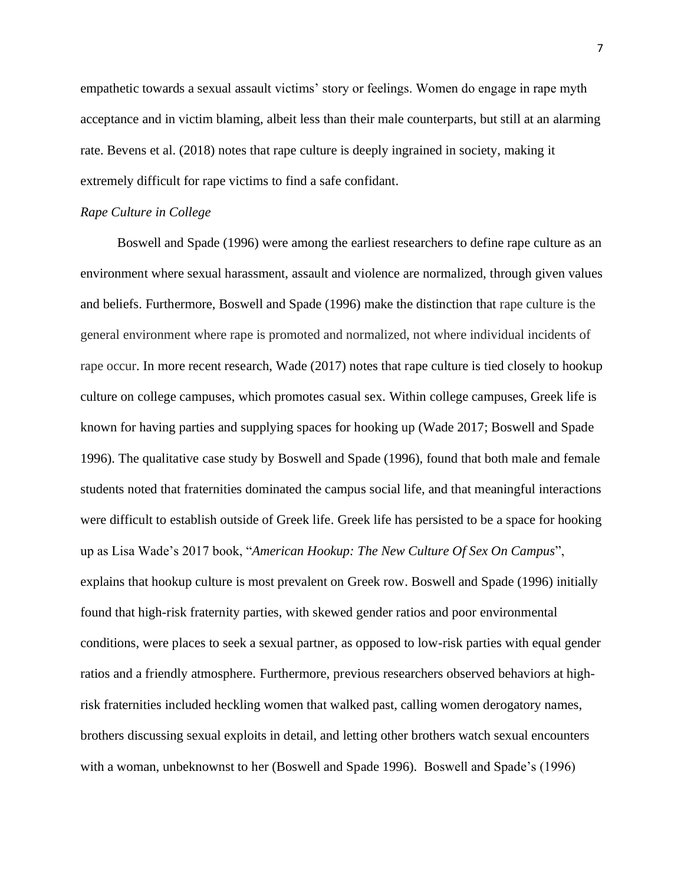empathetic towards a sexual assault victims' story or feelings. Women do engage in rape myth acceptance and in victim blaming, albeit less than their male counterparts, but still at an alarming rate. Bevens et al. (2018) notes that rape culture is deeply ingrained in society, making it extremely difficult for rape victims to find a safe confidant.

#### *Rape Culture in College*

Boswell and Spade (1996) were among the earliest researchers to define rape culture as an environment where sexual harassment, assault and violence are normalized, through given values and beliefs. Furthermore, Boswell and Spade (1996) make the distinction that rape culture is the general environment where rape is promoted and normalized, not where individual incidents of rape occur. In more recent research, Wade (2017) notes that rape culture is tied closely to hookup culture on college campuses, which promotes casual sex. Within college campuses, Greek life is known for having parties and supplying spaces for hooking up (Wade 2017; Boswell and Spade 1996). The qualitative case study by Boswell and Spade (1996), found that both male and female students noted that fraternities dominated the campus social life, and that meaningful interactions were difficult to establish outside of Greek life. Greek life has persisted to be a space for hooking up as Lisa Wade's 2017 book, "*American Hookup: The New Culture Of Sex On Campus*", explains that hookup culture is most prevalent on Greek row. Boswell and Spade (1996) initially found that high-risk fraternity parties, with skewed gender ratios and poor environmental conditions, were places to seek a sexual partner, as opposed to low-risk parties with equal gender ratios and a friendly atmosphere. Furthermore, previous researchers observed behaviors at highrisk fraternities included heckling women that walked past, calling women derogatory names, brothers discussing sexual exploits in detail, and letting other brothers watch sexual encounters with a woman, unbeknownst to her (Boswell and Spade 1996). Boswell and Spade's (1996)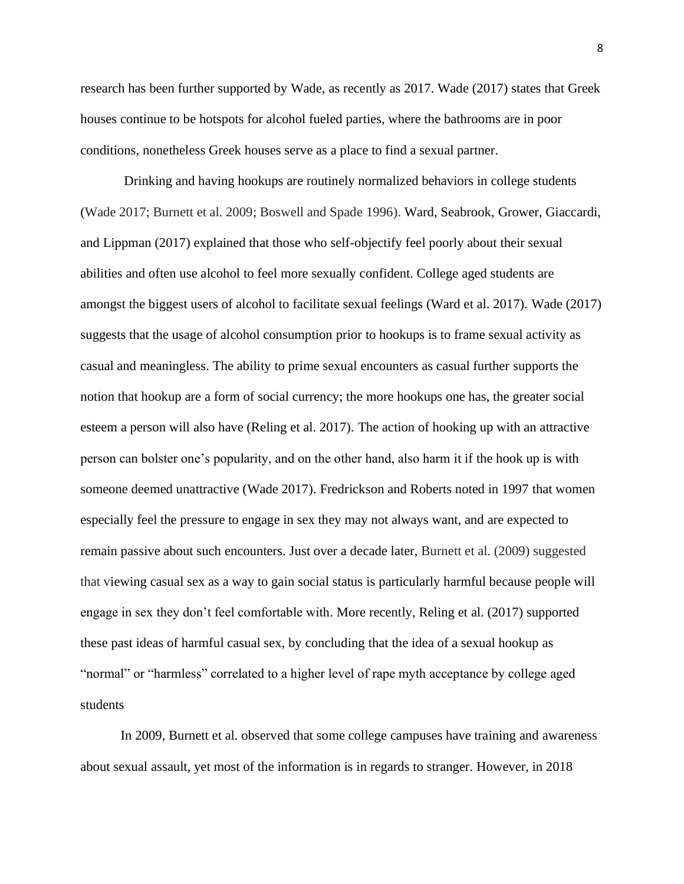research has been further supported by Wade, as recently as 2017. Wade (2017) states that Greek houses continue to be hotspots for alcohol fueled parties, where the bathrooms are in poor conditions, nonetheless Greek houses serve as a place to find a sexual partner.

Drinking and having hookups are routinely normalized behaviors in college students (Wade 2017; Burnett et al. 2009; Boswell and Spade 1996). Ward, Seabrook, Grower, Giaccardi, and Lippman (2017) explained that those who self-objectify feel poorly about their sexual abilities and often use alcohol to feel more sexually confident. College aged students are amongst the biggest users of alcohol to facilitate sexual feelings (Ward et al. 2017). Wade (2017) suggests that the usage of alcohol consumption prior to hookups is to frame sexual activity as casual and meaningless. The ability to prime sexual encounters as casual further supports the notion that hookup are a form of social currency; the more hookups one has, the greater social esteem a person will also have (Reling et al. 2017). The action of hooking up with an attractive person can bolster one's popularity, and on the other hand, also harm it if the hook up is with someone deemed unattractive (Wade 2017). Fredrickson and Roberts noted in 1997 that women especially feel the pressure to engage in sex they may not always want, and are expected to remain passive about such encounters. Just over a decade later, Burnett et al. (2009) suggested that viewing casual sex as a way to gain social status is particularly harmful because people will engage in sex they don't feel comfortable with. More recently, Reling et al. (2017) supported these past ideas of harmful casual sex, by concluding that the idea of a sexual hookup as "normal" or "harmless" correlated to a higher level of rape myth acceptance by college aged students

In 2009, Burnett et al. observed that some college campuses have training and awareness about sexual assault, yet most of the information is in regards to stranger. However, in 2018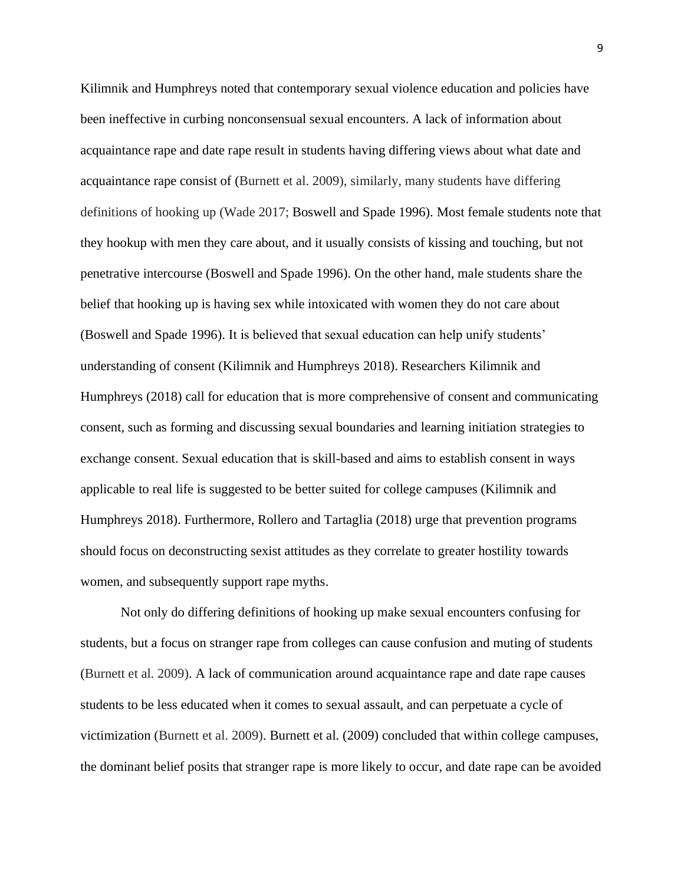Kilimnik and Humphreys noted that contemporary sexual violence education and policies have been ineffective in curbing nonconsensual sexual encounters. A lack of information about acquaintance rape and date rape result in students having differing views about what date and acquaintance rape consist of (Burnett et al. 2009), similarly, many students have differing definitions of hooking up (Wade 2017; Boswell and Spade 1996). Most female students note that they hookup with men they care about, and it usually consists of kissing and touching, but not penetrative intercourse (Boswell and Spade 1996). On the other hand, male students share the belief that hooking up is having sex while intoxicated with women they do not care about (Boswell and Spade 1996). It is believed that sexual education can help unify students' understanding of consent (Kilimnik and Humphreys 2018). Researchers Kilimnik and Humphreys (2018) call for education that is more comprehensive of consent and communicating consent, such as forming and discussing sexual boundaries and learning initiation strategies to exchange consent. Sexual education that is skill-based and aims to establish consent in ways applicable to real life is suggested to be better suited for college campuses (Kilimnik and Humphreys 2018). Furthermore, Rollero and Tartaglia (2018) urge that prevention programs should focus on deconstructing sexist attitudes as they correlate to greater hostility towards women, and subsequently support rape myths.

Not only do differing definitions of hooking up make sexual encounters confusing for students, but a focus on stranger rape from colleges can cause confusion and muting of students (Burnett et al. 2009). A lack of communication around acquaintance rape and date rape causes students to be less educated when it comes to sexual assault, and can perpetuate a cycle of victimization (Burnett et al. 2009). Burnett et al. (2009) concluded that within college campuses, the dominant belief posits that stranger rape is more likely to occur, and date rape can be avoided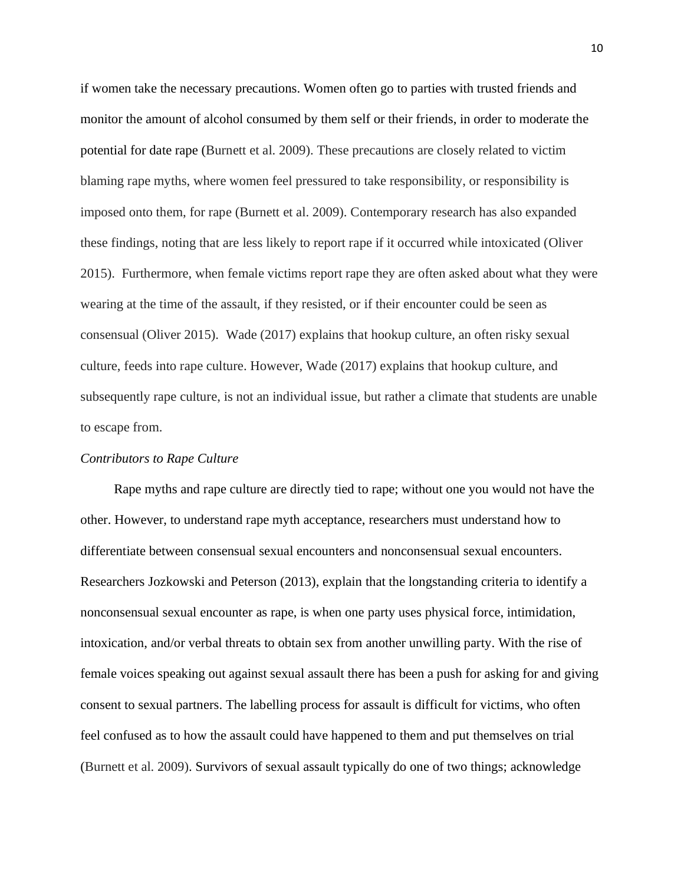if women take the necessary precautions. Women often go to parties with trusted friends and monitor the amount of alcohol consumed by them self or their friends, in order to moderate the potential for date rape (Burnett et al. 2009). These precautions are closely related to victim blaming rape myths, where women feel pressured to take responsibility, or responsibility is imposed onto them, for rape (Burnett et al. 2009). Contemporary research has also expanded these findings, noting that are less likely to report rape if it occurred while intoxicated (Oliver 2015). Furthermore, when female victims report rape they are often asked about what they were wearing at the time of the assault, if they resisted, or if their encounter could be seen as consensual (Oliver 2015). Wade (2017) explains that hookup culture, an often risky sexual culture, feeds into rape culture. However, Wade (2017) explains that hookup culture, and subsequently rape culture, is not an individual issue, but rather a climate that students are unable to escape from.

#### *Contributors to Rape Culture*

 Rape myths and rape culture are directly tied to rape; without one you would not have the other. However, to understand rape myth acceptance, researchers must understand how to differentiate between consensual sexual encounters and nonconsensual sexual encounters. Researchers Jozkowski and Peterson (2013), explain that the longstanding criteria to identify a nonconsensual sexual encounter as rape, is when one party uses physical force, intimidation, intoxication, and/or verbal threats to obtain sex from another unwilling party. With the rise of female voices speaking out against sexual assault there has been a push for asking for and giving consent to sexual partners. The labelling process for assault is difficult for victims, who often feel confused as to how the assault could have happened to them and put themselves on trial (Burnett et al. 2009). Survivors of sexual assault typically do one of two things; acknowledge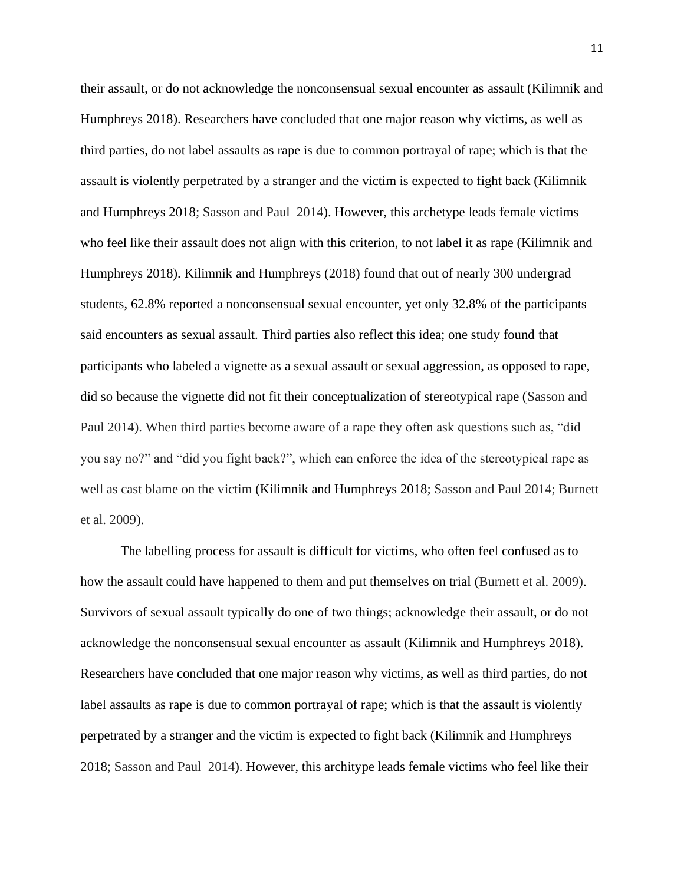their assault, or do not acknowledge the nonconsensual sexual encounter as assault (Kilimnik and Humphreys 2018). Researchers have concluded that one major reason why victims, as well as third parties, do not label assaults as rape is due to common portrayal of rape; which is that the assault is violently perpetrated by a stranger and the victim is expected to fight back (Kilimnik and Humphreys 2018; Sasson and Paul 2014). However, this archetype leads female victims who feel like their assault does not align with this criterion, to not label it as rape (Kilimnik and Humphreys 2018). Kilimnik and Humphreys (2018) found that out of nearly 300 undergrad students, 62.8% reported a nonconsensual sexual encounter, yet only 32.8% of the participants said encounters as sexual assault. Third parties also reflect this idea; one study found that participants who labeled a vignette as a sexual assault or sexual aggression, as opposed to rape, did so because the vignette did not fit their conceptualization of stereotypical rape (Sasson and Paul 2014). When third parties become aware of a rape they often ask questions such as, "did you say no?" and "did you fight back?", which can enforce the idea of the stereotypical rape as well as cast blame on the victim (Kilimnik and Humphreys 2018; Sasson and Paul 2014; Burnett et al. 2009).

The labelling process for assault is difficult for victims, who often feel confused as to how the assault could have happened to them and put themselves on trial (Burnett et al. 2009). Survivors of sexual assault typically do one of two things; acknowledge their assault, or do not acknowledge the nonconsensual sexual encounter as assault (Kilimnik and Humphreys 2018). Researchers have concluded that one major reason why victims, as well as third parties, do not label assaults as rape is due to common portrayal of rape; which is that the assault is violently perpetrated by a stranger and the victim is expected to fight back (Kilimnik and Humphreys 2018; Sasson and Paul 2014). However, this architype leads female victims who feel like their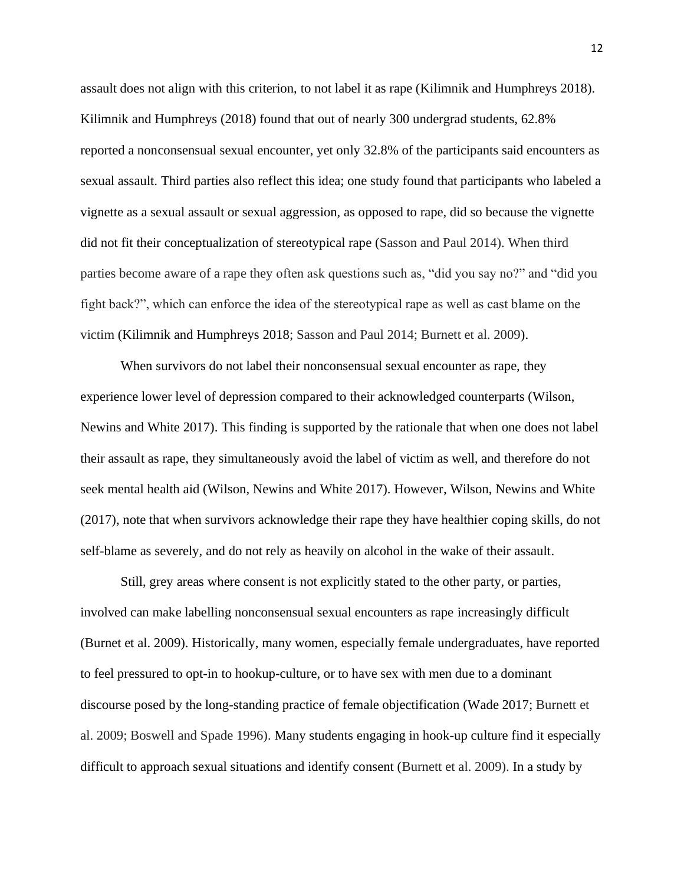assault does not align with this criterion, to not label it as rape (Kilimnik and Humphreys 2018). Kilimnik and Humphreys (2018) found that out of nearly 300 undergrad students, 62.8% reported a nonconsensual sexual encounter, yet only 32.8% of the participants said encounters as sexual assault. Third parties also reflect this idea; one study found that participants who labeled a vignette as a sexual assault or sexual aggression, as opposed to rape, did so because the vignette did not fit their conceptualization of stereotypical rape (Sasson and Paul 2014). When third parties become aware of a rape they often ask questions such as, "did you say no?" and "did you fight back?", which can enforce the idea of the stereotypical rape as well as cast blame on the victim (Kilimnik and Humphreys 2018; Sasson and Paul 2014; Burnett et al. 2009).

When survivors do not label their nonconsensual sexual encounter as rape, they experience lower level of depression compared to their acknowledged counterparts (Wilson, Newins and White 2017). This finding is supported by the rationale that when one does not label their assault as rape, they simultaneously avoid the label of victim as well, and therefore do not seek mental health aid (Wilson, Newins and White 2017). However, Wilson, Newins and White (2017), note that when survivors acknowledge their rape they have healthier coping skills, do not self-blame as severely, and do not rely as heavily on alcohol in the wake of their assault.

Still, grey areas where consent is not explicitly stated to the other party, or parties, involved can make labelling nonconsensual sexual encounters as rape increasingly difficult (Burnet et al. 2009). Historically, many women, especially female undergraduates, have reported to feel pressured to opt-in to hookup-culture, or to have sex with men due to a dominant discourse posed by the long-standing practice of female objectification (Wade 2017; Burnett et al. 2009; Boswell and Spade 1996). Many students engaging in hook-up culture find it especially difficult to approach sexual situations and identify consent (Burnett et al. 2009). In a study by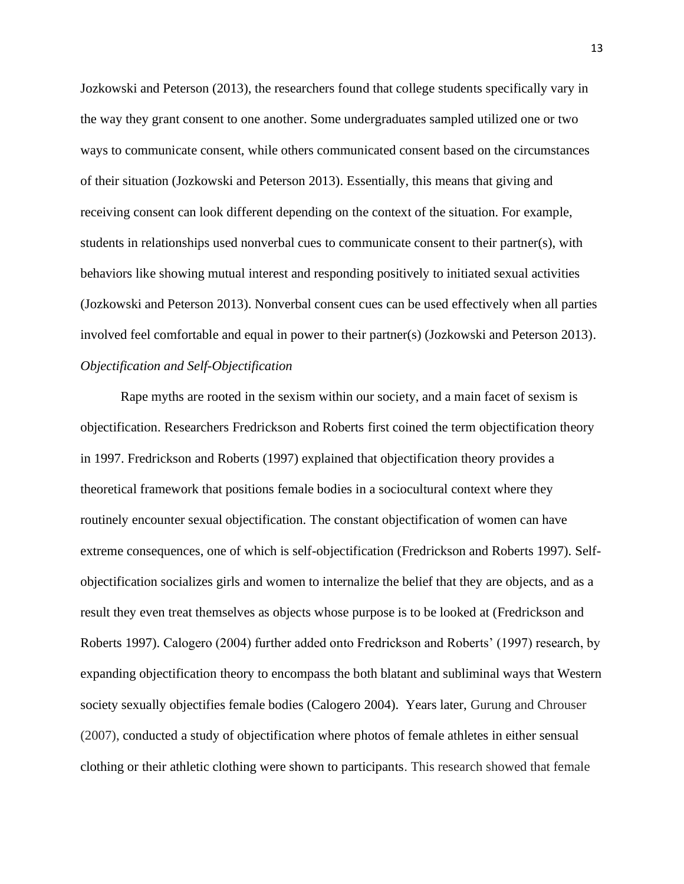Jozkowski and Peterson (2013), the researchers found that college students specifically vary in the way they grant consent to one another. Some undergraduates sampled utilized one or two ways to communicate consent, while others communicated consent based on the circumstances of their situation (Jozkowski and Peterson 2013). Essentially, this means that giving and receiving consent can look different depending on the context of the situation. For example, students in relationships used nonverbal cues to communicate consent to their partner(s), with behaviors like showing mutual interest and responding positively to initiated sexual activities (Jozkowski and Peterson 2013). Nonverbal consent cues can be used effectively when all parties involved feel comfortable and equal in power to their partner(s) (Jozkowski and Peterson 2013). *Objectification and Self-Objectification*

Rape myths are rooted in the sexism within our society, and a main facet of sexism is objectification. Researchers Fredrickson and Roberts first coined the term objectification theory in 1997. Fredrickson and Roberts (1997) explained that objectification theory provides a theoretical framework that positions female bodies in a sociocultural context where they routinely encounter sexual objectification. The constant objectification of women can have extreme consequences, one of which is self-objectification (Fredrickson and Roberts 1997). Selfobjectification socializes girls and women to internalize the belief that they are objects, and as a result they even treat themselves as objects whose purpose is to be looked at (Fredrickson and Roberts 1997). Calogero (2004) further added onto Fredrickson and Roberts' (1997) research, by expanding objectification theory to encompass the both blatant and subliminal ways that Western society sexually objectifies female bodies (Calogero 2004). Years later, Gurung and Chrouser (2007), conducted a study of objectification where photos of female athletes in either sensual clothing or their athletic clothing were shown to participants. This research showed that female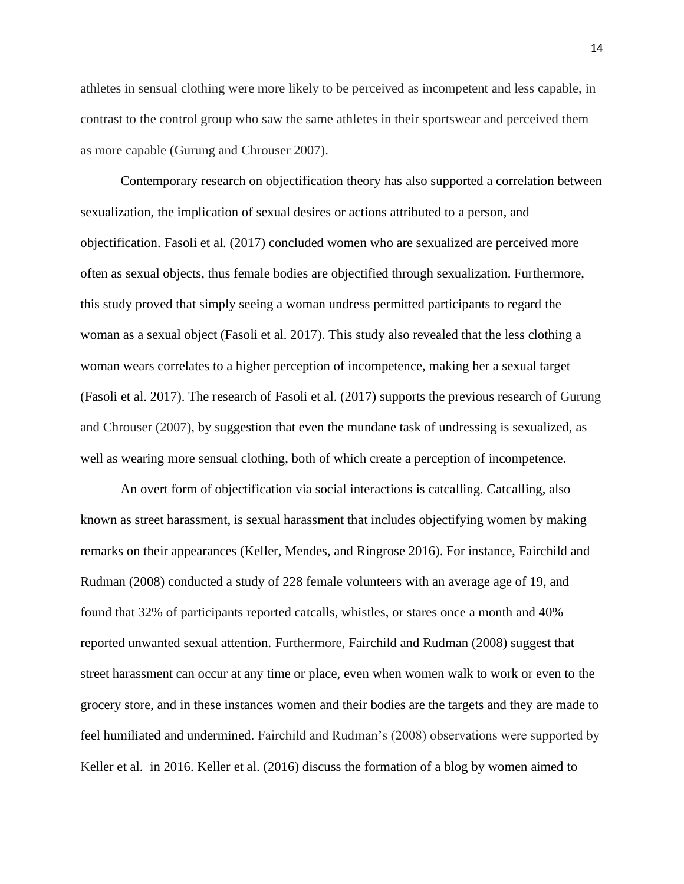athletes in sensual clothing were more likely to be perceived as incompetent and less capable, in contrast to the control group who saw the same athletes in their sportswear and perceived them as more capable (Gurung and Chrouser 2007).

Contemporary research on objectification theory has also supported a correlation between sexualization, the implication of sexual desires or actions attributed to a person, and objectification. Fasoli et al. (2017) concluded women who are sexualized are perceived more often as sexual objects, thus female bodies are objectified through sexualization. Furthermore, this study proved that simply seeing a woman undress permitted participants to regard the woman as a sexual object (Fasoli et al. 2017). This study also revealed that the less clothing a woman wears correlates to a higher perception of incompetence, making her a sexual target (Fasoli et al. 2017). The research of Fasoli et al. (2017) supports the previous research of Gurung and Chrouser (2007), by suggestion that even the mundane task of undressing is sexualized, as well as wearing more sensual clothing, both of which create a perception of incompetence.

An overt form of objectification via social interactions is catcalling. Catcalling, also known as street harassment, is sexual harassment that includes objectifying women by making remarks on their appearances (Keller, Mendes, and Ringrose 2016). For instance, Fairchild and Rudman (2008) conducted a study of 228 female volunteers with an average age of 19, and found that 32% of participants reported catcalls, whistles, or stares once a month and 40% reported unwanted sexual attention. Furthermore, Fairchild and Rudman (2008) suggest that street harassment can occur at any time or place, even when women walk to work or even to the grocery store, and in these instances women and their bodies are the targets and they are made to feel humiliated and undermined. Fairchild and Rudman's (2008) observations were supported by Keller et al. in 2016. Keller et al. (2016) discuss the formation of a blog by women aimed to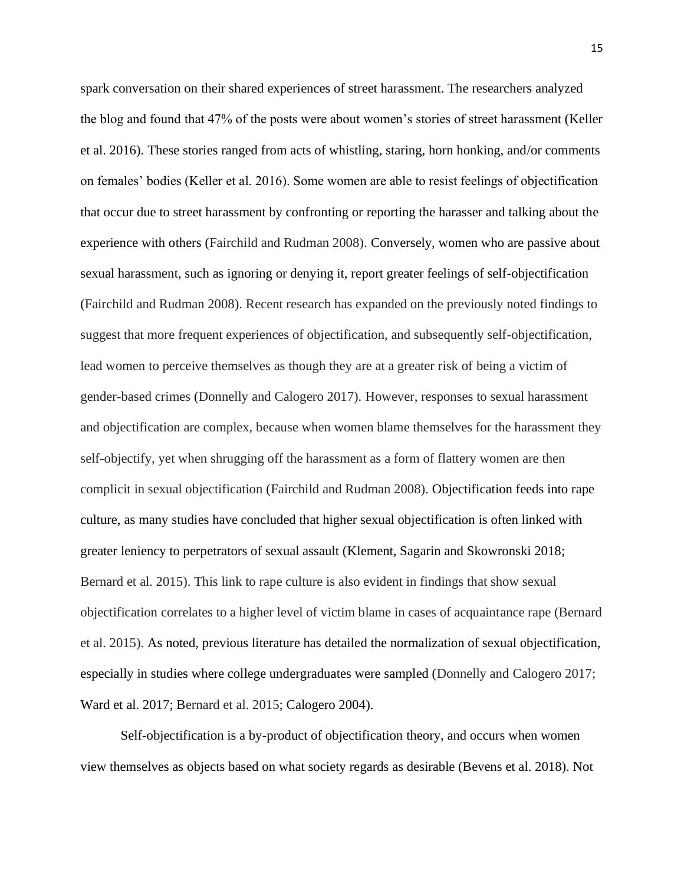spark conversation on their shared experiences of street harassment. The researchers analyzed the blog and found that 47% of the posts were about women's stories of street harassment (Keller et al. 2016). These stories ranged from acts of whistling, staring, horn honking, and/or comments on females' bodies (Keller et al. 2016). Some women are able to resist feelings of objectification that occur due to street harassment by confronting or reporting the harasser and talking about the experience with others (Fairchild and Rudman 2008). Conversely, women who are passive about sexual harassment, such as ignoring or denying it, report greater feelings of self-objectification (Fairchild and Rudman 2008). Recent research has expanded on the previously noted findings to suggest that more frequent experiences of objectification, and subsequently self-objectification, lead women to perceive themselves as though they are at a greater risk of being a victim of gender-based crimes (Donnelly and Calogero 2017). However, responses to sexual harassment and objectification are complex, because when women blame themselves for the harassment they self-objectify, yet when shrugging off the harassment as a form of flattery women are then complicit in sexual objectification (Fairchild and Rudman 2008). Objectification feeds into rape culture, as many studies have concluded that higher sexual objectification is often linked with greater leniency to perpetrators of sexual assault (Klement, Sagarin and Skowronski 2018; Bernard et al. 2015). This link to rape culture is also evident in findings that show sexual objectification correlates to a higher level of victim blame in cases of acquaintance rape (Bernard et al. 2015). As noted, previous literature has detailed the normalization of sexual objectification, especially in studies where college undergraduates were sampled (Donnelly and Calogero 2017; Ward et al. 2017; Bernard et al. 2015; Calogero 2004).

Self-objectification is a by-product of objectification theory, and occurs when women view themselves as objects based on what society regards as desirable (Bevens et al. 2018). Not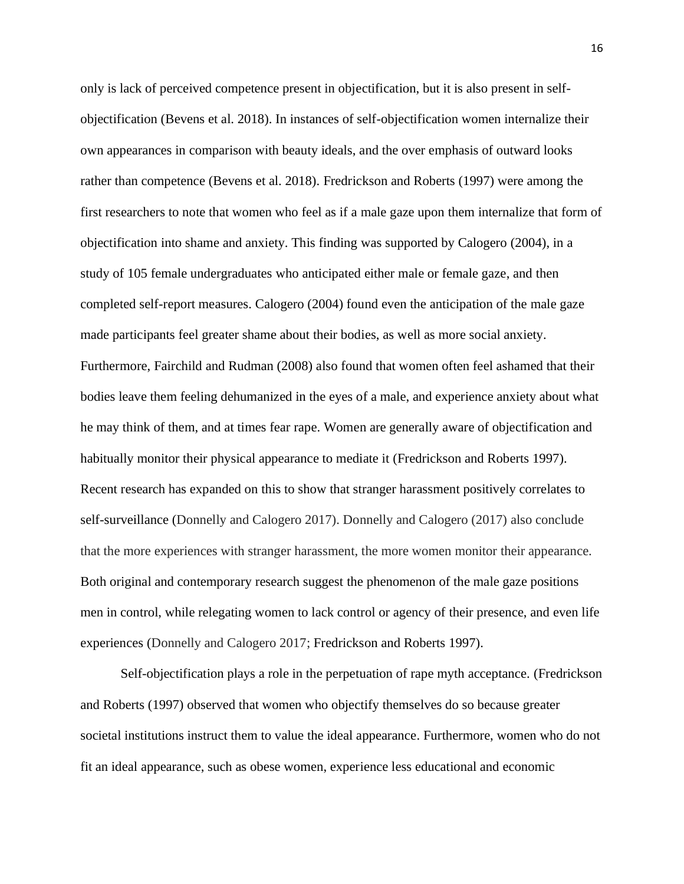only is lack of perceived competence present in objectification, but it is also present in selfobjectification (Bevens et al. 2018). In instances of self-objectification women internalize their own appearances in comparison with beauty ideals, and the over emphasis of outward looks rather than competence (Bevens et al. 2018). Fredrickson and Roberts (1997) were among the first researchers to note that women who feel as if a male gaze upon them internalize that form of objectification into shame and anxiety. This finding was supported by Calogero (2004), in a study of 105 female undergraduates who anticipated either male or female gaze, and then completed self-report measures. Calogero (2004) found even the anticipation of the male gaze made participants feel greater shame about their bodies, as well as more social anxiety. Furthermore, Fairchild and Rudman (2008) also found that women often feel ashamed that their bodies leave them feeling dehumanized in the eyes of a male, and experience anxiety about what he may think of them, and at times fear rape. Women are generally aware of objectification and habitually monitor their physical appearance to mediate it (Fredrickson and Roberts 1997). Recent research has expanded on this to show that stranger harassment positively correlates to self-surveillance (Donnelly and Calogero 2017). Donnelly and Calogero (2017) also conclude that the more experiences with stranger harassment, the more women monitor their appearance. Both original and contemporary research suggest the phenomenon of the male gaze positions men in control, while relegating women to lack control or agency of their presence, and even life experiences (Donnelly and Calogero 2017; Fredrickson and Roberts 1997).

 Self-objectification plays a role in the perpetuation of rape myth acceptance. (Fredrickson and Roberts (1997) observed that women who objectify themselves do so because greater societal institutions instruct them to value the ideal appearance. Furthermore, women who do not fit an ideal appearance, such as obese women, experience less educational and economic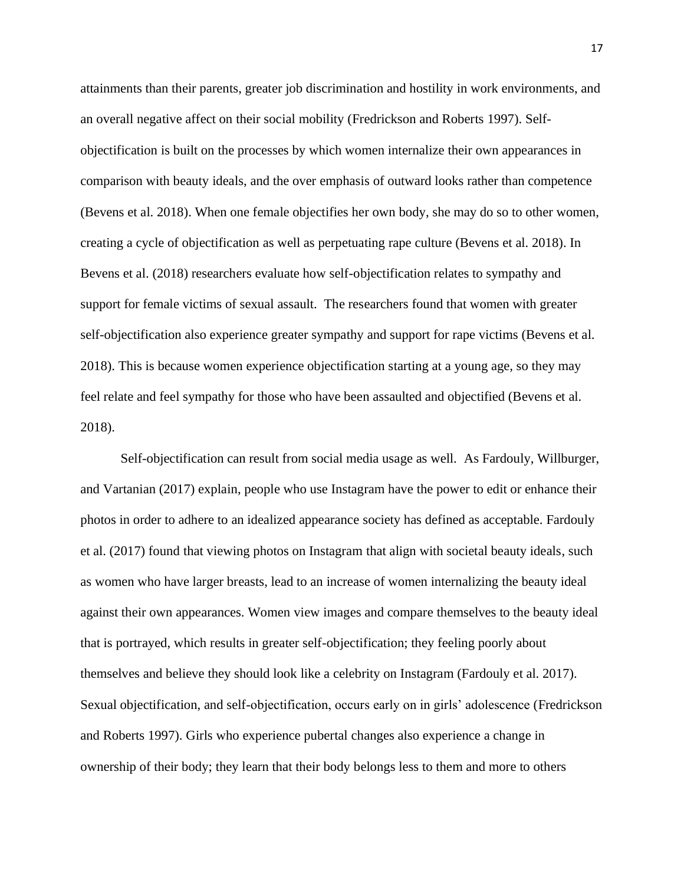attainments than their parents, greater job discrimination and hostility in work environments, and an overall negative affect on their social mobility (Fredrickson and Roberts 1997). Selfobjectification is built on the processes by which women internalize their own appearances in comparison with beauty ideals, and the over emphasis of outward looks rather than competence (Bevens et al. 2018). When one female objectifies her own body, she may do so to other women, creating a cycle of objectification as well as perpetuating rape culture (Bevens et al. 2018). In Bevens et al. (2018) researchers evaluate how self-objectification relates to sympathy and support for female victims of sexual assault. The researchers found that women with greater self-objectification also experience greater sympathy and support for rape victims (Bevens et al. 2018). This is because women experience objectification starting at a young age, so they may feel relate and feel sympathy for those who have been assaulted and objectified (Bevens et al. 2018).

Self-objectification can result from social media usage as well. As Fardouly, Willburger, and Vartanian (2017) explain, people who use Instagram have the power to edit or enhance their photos in order to adhere to an idealized appearance society has defined as acceptable. Fardouly et al. (2017) found that viewing photos on Instagram that align with societal beauty ideals, such as women who have larger breasts, lead to an increase of women internalizing the beauty ideal against their own appearances. Women view images and compare themselves to the beauty ideal that is portrayed, which results in greater self-objectification; they feeling poorly about themselves and believe they should look like a celebrity on Instagram (Fardouly et al. 2017). Sexual objectification, and self-objectification, occurs early on in girls' adolescence (Fredrickson and Roberts 1997). Girls who experience pubertal changes also experience a change in ownership of their body; they learn that their body belongs less to them and more to others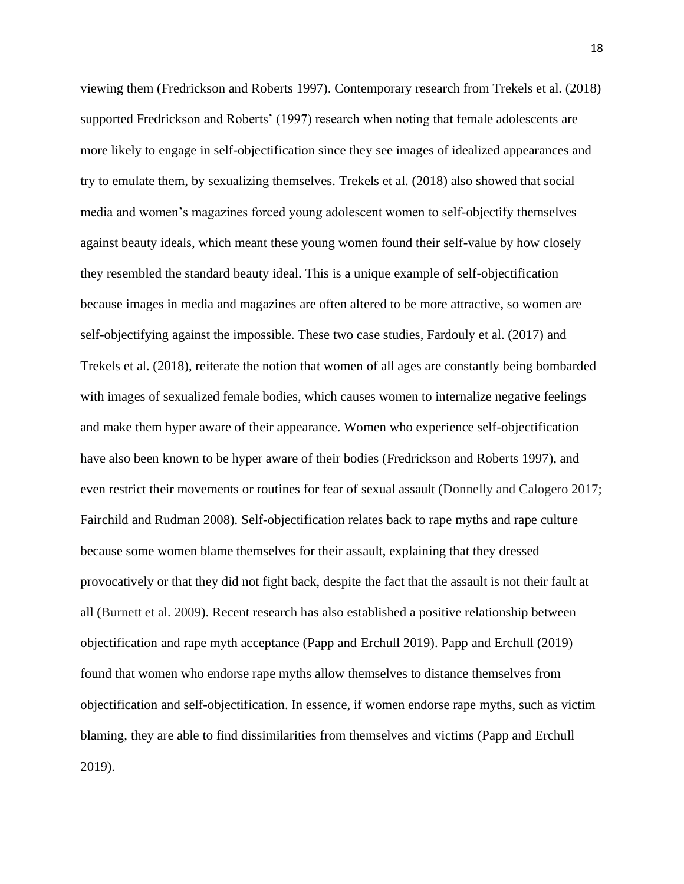viewing them (Fredrickson and Roberts 1997). Contemporary research from Trekels et al. (2018) supported Fredrickson and Roberts' (1997) research when noting that female adolescents are more likely to engage in self-objectification since they see images of idealized appearances and try to emulate them, by sexualizing themselves. Trekels et al. (2018) also showed that social media and women's magazines forced young adolescent women to self-objectify themselves against beauty ideals, which meant these young women found their self-value by how closely they resembled the standard beauty ideal. This is a unique example of self-objectification because images in media and magazines are often altered to be more attractive, so women are self-objectifying against the impossible. These two case studies, Fardouly et al. (2017) and Trekels et al. (2018), reiterate the notion that women of all ages are constantly being bombarded with images of sexualized female bodies, which causes women to internalize negative feelings and make them hyper aware of their appearance. Women who experience self-objectification have also been known to be hyper aware of their bodies (Fredrickson and Roberts 1997), and even restrict their movements or routines for fear of sexual assault (Donnelly and Calogero 2017; Fairchild and Rudman 2008). Self-objectification relates back to rape myths and rape culture because some women blame themselves for their assault, explaining that they dressed provocatively or that they did not fight back, despite the fact that the assault is not their fault at all (Burnett et al. 2009). Recent research has also established a positive relationship between objectification and rape myth acceptance (Papp and Erchull 2019). Papp and Erchull (2019) found that women who endorse rape myths allow themselves to distance themselves from objectification and self-objectification. In essence, if women endorse rape myths, such as victim blaming, they are able to find dissimilarities from themselves and victims (Papp and Erchull 2019).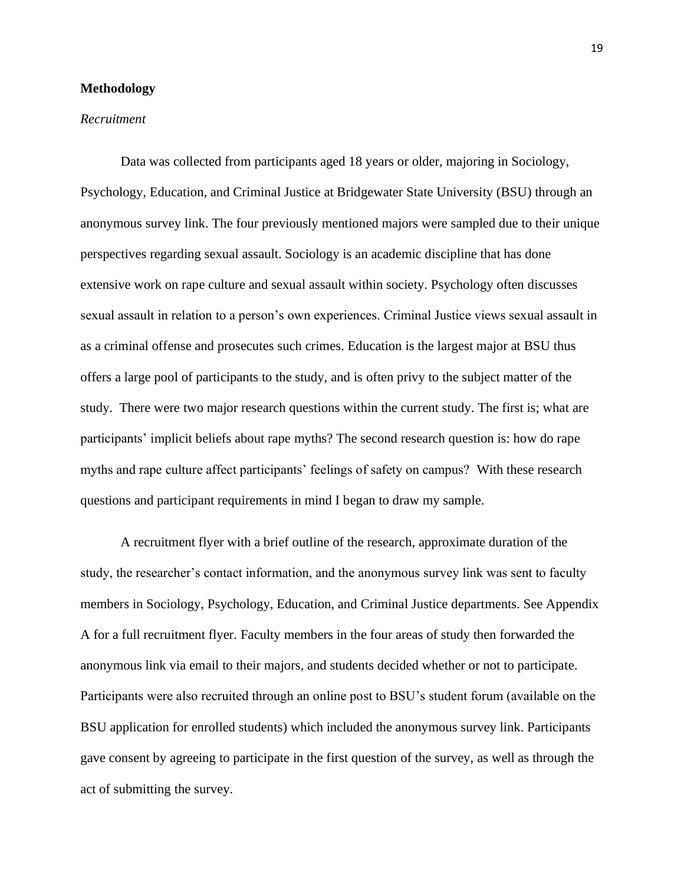#### **Methodology**

#### *Recruitment*

Data was collected from participants aged 18 years or older, majoring in Sociology, Psychology, Education, and Criminal Justice at Bridgewater State University (BSU) through an anonymous survey link. The four previously mentioned majors were sampled due to their unique perspectives regarding sexual assault. Sociology is an academic discipline that has done extensive work on rape culture and sexual assault within society. Psychology often discusses sexual assault in relation to a person's own experiences. Criminal Justice views sexual assault in as a criminal offense and prosecutes such crimes. Education is the largest major at BSU thus offers a large pool of participants to the study, and is often privy to the subject matter of the study. There were two major research questions within the current study. The first is; what are participants' implicit beliefs about rape myths? The second research question is: how do rape myths and rape culture affect participants' feelings of safety on campus? With these research questions and participant requirements in mind I began to draw my sample.

A recruitment flyer with a brief outline of the research, approximate duration of the study, the researcher's contact information, and the anonymous survey link was sent to faculty members in Sociology, Psychology, Education, and Criminal Justice departments. See Appendix A for a full recruitment flyer. Faculty members in the four areas of study then forwarded the anonymous link via email to their majors, and students decided whether or not to participate. Participants were also recruited through an online post to BSU's student forum (available on the BSU application for enrolled students) which included the anonymous survey link. Participants gave consent by agreeing to participate in the first question of the survey, as well as through the act of submitting the survey.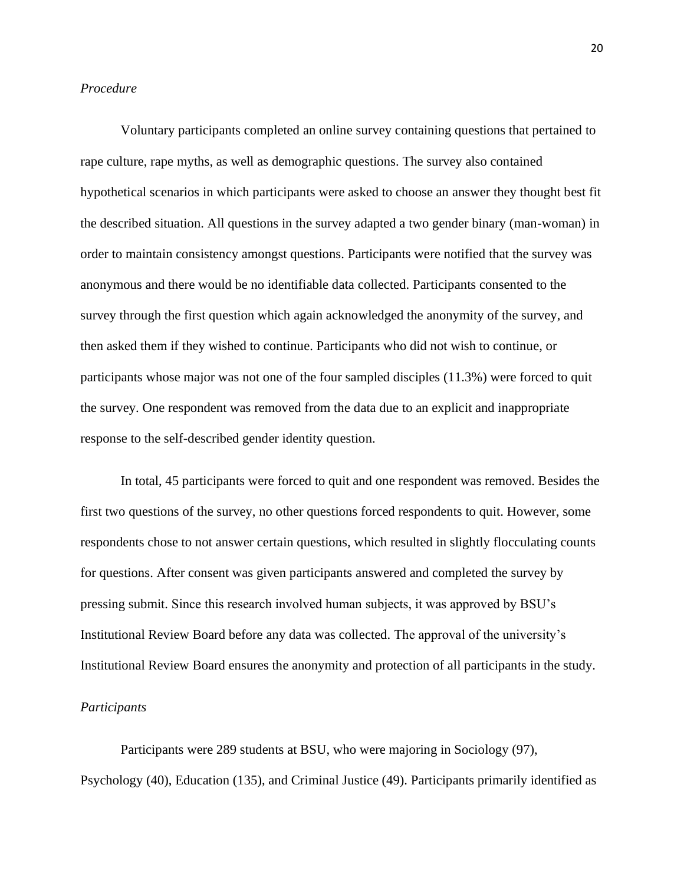# *Procedure*

Voluntary participants completed an online survey containing questions that pertained to rape culture, rape myths, as well as demographic questions. The survey also contained hypothetical scenarios in which participants were asked to choose an answer they thought best fit the described situation. All questions in the survey adapted a two gender binary (man-woman) in order to maintain consistency amongst questions. Participants were notified that the survey was anonymous and there would be no identifiable data collected. Participants consented to the survey through the first question which again acknowledged the anonymity of the survey, and then asked them if they wished to continue. Participants who did not wish to continue, or participants whose major was not one of the four sampled disciples (11.3%) were forced to quit the survey. One respondent was removed from the data due to an explicit and inappropriate response to the self-described gender identity question.

In total, 45 participants were forced to quit and one respondent was removed. Besides the first two questions of the survey, no other questions forced respondents to quit. However, some respondents chose to not answer certain questions, which resulted in slightly flocculating counts for questions. After consent was given participants answered and completed the survey by pressing submit. Since this research involved human subjects, it was approved by BSU's Institutional Review Board before any data was collected. The approval of the university's Institutional Review Board ensures the anonymity and protection of all participants in the study.

# *Participants*

Participants were 289 students at BSU, who were majoring in Sociology (97), Psychology (40), Education (135), and Criminal Justice (49). Participants primarily identified as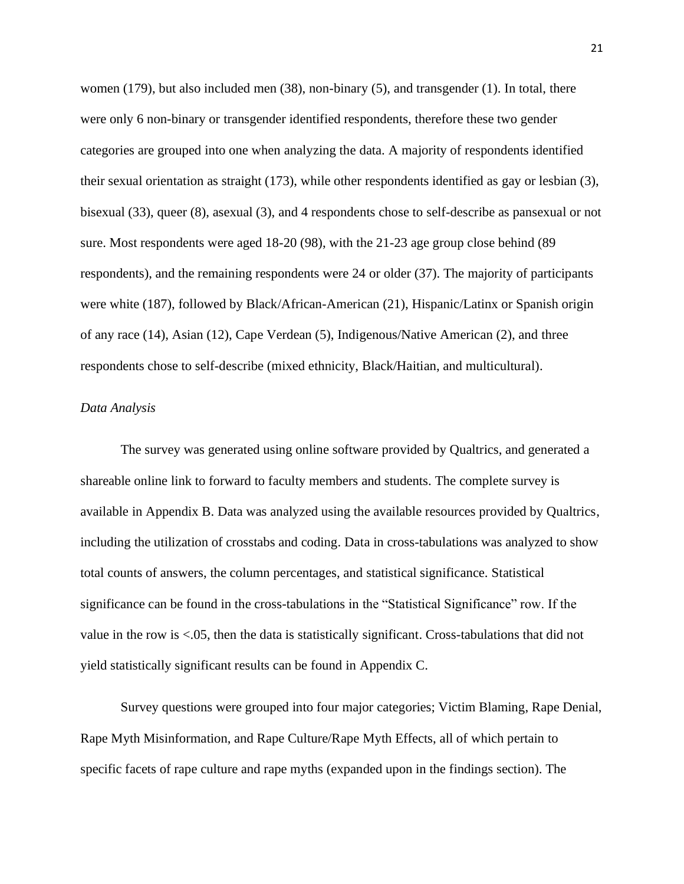women (179), but also included men (38), non-binary (5), and transgender (1). In total, there were only 6 non-binary or transgender identified respondents, therefore these two gender categories are grouped into one when analyzing the data. A majority of respondents identified their sexual orientation as straight (173), while other respondents identified as gay or lesbian (3), bisexual (33), queer (8), asexual (3), and 4 respondents chose to self-describe as pansexual or not sure. Most respondents were aged 18-20 (98), with the 21-23 age group close behind (89 respondents), and the remaining respondents were 24 or older (37). The majority of participants were white (187), followed by Black/African-American (21), Hispanic/Latinx or Spanish origin of any race (14), Asian (12), Cape Verdean (5), Indigenous/Native American (2), and three respondents chose to self-describe (mixed ethnicity, Black/Haitian, and multicultural).

# *Data Analysis*

The survey was generated using online software provided by Qualtrics, and generated a shareable online link to forward to faculty members and students. The complete survey is available in Appendix B. Data was analyzed using the available resources provided by Qualtrics, including the utilization of crosstabs and coding. Data in cross-tabulations was analyzed to show total counts of answers, the column percentages, and statistical significance. Statistical significance can be found in the cross-tabulations in the "Statistical Significance" row. If the value in the row is <.05, then the data is statistically significant. Cross-tabulations that did not yield statistically significant results can be found in Appendix C.

Survey questions were grouped into four major categories; Victim Blaming, Rape Denial, Rape Myth Misinformation, and Rape Culture/Rape Myth Effects, all of which pertain to specific facets of rape culture and rape myths (expanded upon in the findings section). The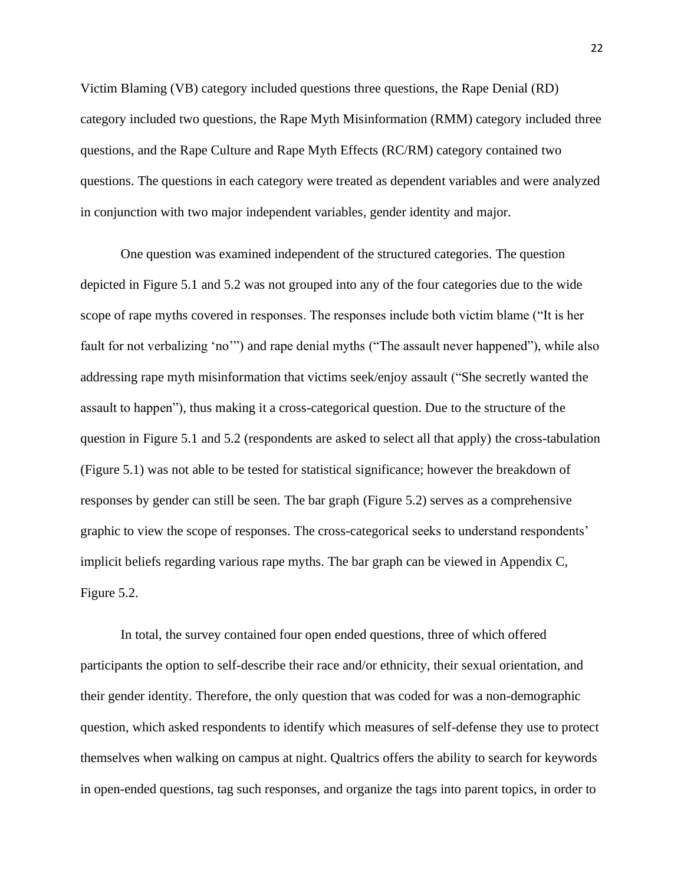Victim Blaming (VB) category included questions three questions, the Rape Denial (RD) category included two questions, the Rape Myth Misinformation (RMM) category included three questions, and the Rape Culture and Rape Myth Effects (RC/RM) category contained two questions. The questions in each category were treated as dependent variables and were analyzed in conjunction with two major independent variables, gender identity and major.

One question was examined independent of the structured categories. The question depicted in Figure 5.1 and 5.2 was not grouped into any of the four categories due to the wide scope of rape myths covered in responses. The responses include both victim blame ("It is her fault for not verbalizing 'no'") and rape denial myths ("The assault never happened"), while also addressing rape myth misinformation that victims seek/enjoy assault ("She secretly wanted the assault to happen"), thus making it a cross-categorical question. Due to the structure of the question in Figure 5.1 and 5.2 (respondents are asked to select all that apply) the cross-tabulation (Figure 5.1) was not able to be tested for statistical significance; however the breakdown of responses by gender can still be seen. The bar graph (Figure 5.2) serves as a comprehensive graphic to view the scope of responses. The cross-categorical seeks to understand respondents' implicit beliefs regarding various rape myths. The bar graph can be viewed in Appendix C, Figure 5.2.

In total, the survey contained four open ended questions, three of which offered participants the option to self-describe their race and/or ethnicity, their sexual orientation, and their gender identity. Therefore, the only question that was coded for was a non-demographic question, which asked respondents to identify which measures of self-defense they use to protect themselves when walking on campus at night. Qualtrics offers the ability to search for keywords in open-ended questions, tag such responses, and organize the tags into parent topics, in order to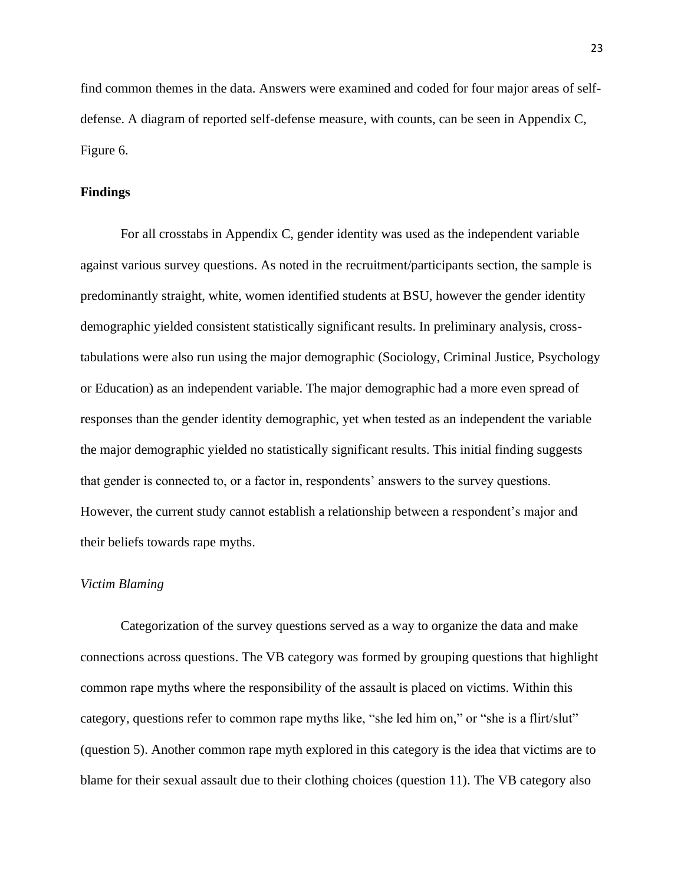find common themes in the data. Answers were examined and coded for four major areas of selfdefense. A diagram of reported self-defense measure, with counts, can be seen in Appendix C, Figure 6.

# **Findings**

For all crosstabs in Appendix C, gender identity was used as the independent variable against various survey questions. As noted in the recruitment/participants section, the sample is predominantly straight, white, women identified students at BSU, however the gender identity demographic yielded consistent statistically significant results. In preliminary analysis, crosstabulations were also run using the major demographic (Sociology, Criminal Justice, Psychology or Education) as an independent variable. The major demographic had a more even spread of responses than the gender identity demographic, yet when tested as an independent the variable the major demographic yielded no statistically significant results. This initial finding suggests that gender is connected to, or a factor in, respondents' answers to the survey questions. However, the current study cannot establish a relationship between a respondent's major and their beliefs towards rape myths.

#### *Victim Blaming*

Categorization of the survey questions served as a way to organize the data and make connections across questions. The VB category was formed by grouping questions that highlight common rape myths where the responsibility of the assault is placed on victims. Within this category, questions refer to common rape myths like, "she led him on," or "she is a flirt/slut" (question 5). Another common rape myth explored in this category is the idea that victims are to blame for their sexual assault due to their clothing choices (question 11). The VB category also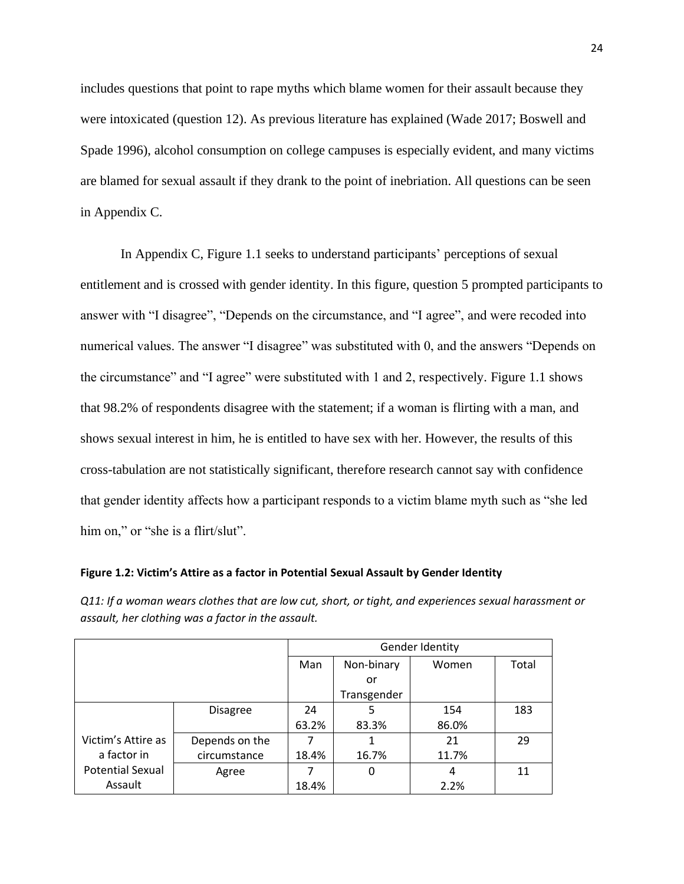includes questions that point to rape myths which blame women for their assault because they were intoxicated (question 12). As previous literature has explained (Wade 2017; Boswell and Spade 1996), alcohol consumption on college campuses is especially evident, and many victims are blamed for sexual assault if they drank to the point of inebriation. All questions can be seen in Appendix C.

In Appendix C, Figure 1.1 seeks to understand participants' perceptions of sexual entitlement and is crossed with gender identity. In this figure, question 5 prompted participants to answer with "I disagree", "Depends on the circumstance, and "I agree", and were recoded into numerical values. The answer "I disagree" was substituted with 0, and the answers "Depends on the circumstance" and "I agree" were substituted with 1 and 2, respectively. Figure 1.1 shows that 98.2% of respondents disagree with the statement; if a woman is flirting with a man, and shows sexual interest in him, he is entitled to have sex with her. However, the results of this cross-tabulation are not statistically significant, therefore research cannot say with confidence that gender identity affects how a participant responds to a victim blame myth such as "she led him on," or "she is a flirt/slut".

**Figure 1.2: Victim's Attire as a factor in Potential Sexual Assault by Gender Identity**

*Q11: If a woman wears clothes that are low cut, short, or tight, and experiences sexual harassment or assault, her clothing was a factor in the assault.*

|                         |                 |       | Gender Identity |       |       |  |  |  |
|-------------------------|-----------------|-------|-----------------|-------|-------|--|--|--|
|                         |                 | Man   | Non-binary      | Women | Total |  |  |  |
|                         |                 |       | or              |       |       |  |  |  |
|                         |                 |       | Transgender     |       |       |  |  |  |
|                         | <b>Disagree</b> | 24    | 5               | 154   | 183   |  |  |  |
|                         |                 | 63.2% | 83.3%           | 86.0% |       |  |  |  |
| Victim's Attire as      | Depends on the  |       | 1               | 21    | 29    |  |  |  |
| a factor in             | circumstance    | 18.4% | 16.7%           | 11.7% |       |  |  |  |
| <b>Potential Sexual</b> | Agree           |       | 0               | 4     | 11    |  |  |  |
| Assault                 |                 | 18.4% |                 | 2.2%  |       |  |  |  |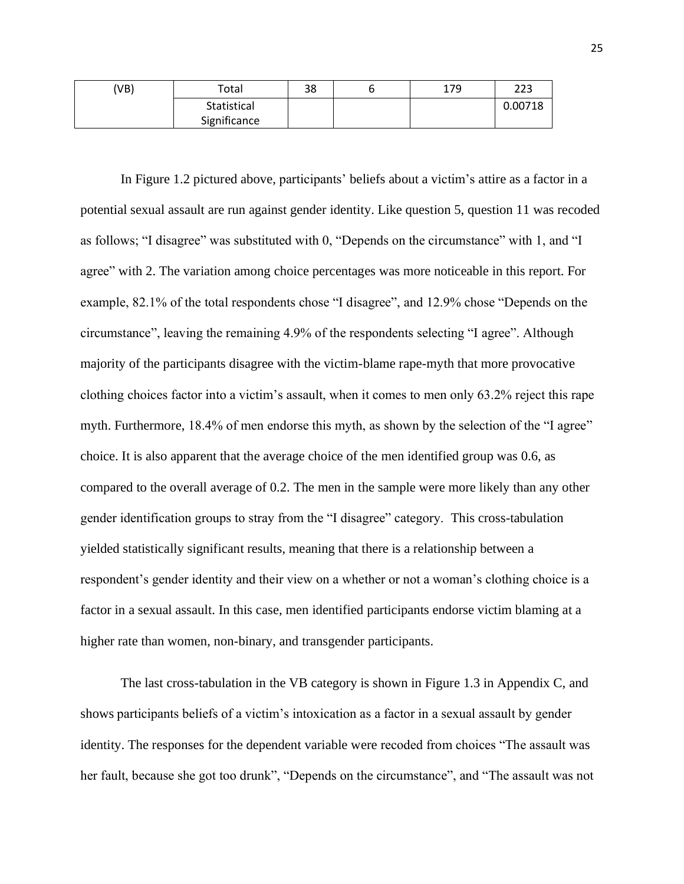| (VB) | Total        | 38 | 179 | 223     |
|------|--------------|----|-----|---------|
|      | Statistical  |    |     | 0.00718 |
|      | Significance |    |     |         |

In Figure 1.2 pictured above, participants' beliefs about a victim's attire as a factor in a potential sexual assault are run against gender identity. Like question 5, question 11 was recoded as follows; "I disagree" was substituted with 0, "Depends on the circumstance" with 1, and "I agree" with 2. The variation among choice percentages was more noticeable in this report. For example, 82.1% of the total respondents chose "I disagree", and 12.9% chose "Depends on the circumstance", leaving the remaining 4.9% of the respondents selecting "I agree". Although majority of the participants disagree with the victim-blame rape-myth that more provocative clothing choices factor into a victim's assault, when it comes to men only 63.2% reject this rape myth. Furthermore, 18.4% of men endorse this myth, as shown by the selection of the "I agree" choice. It is also apparent that the average choice of the men identified group was 0.6, as compared to the overall average of 0.2. The men in the sample were more likely than any other gender identification groups to stray from the "I disagree" category. This cross-tabulation yielded statistically significant results, meaning that there is a relationship between a respondent's gender identity and their view on a whether or not a woman's clothing choice is a factor in a sexual assault. In this case, men identified participants endorse victim blaming at a higher rate than women, non-binary, and transgender participants.

The last cross-tabulation in the VB category is shown in Figure 1.3 in Appendix C, and shows participants beliefs of a victim's intoxication as a factor in a sexual assault by gender identity. The responses for the dependent variable were recoded from choices "The assault was her fault, because she got too drunk", "Depends on the circumstance", and "The assault was not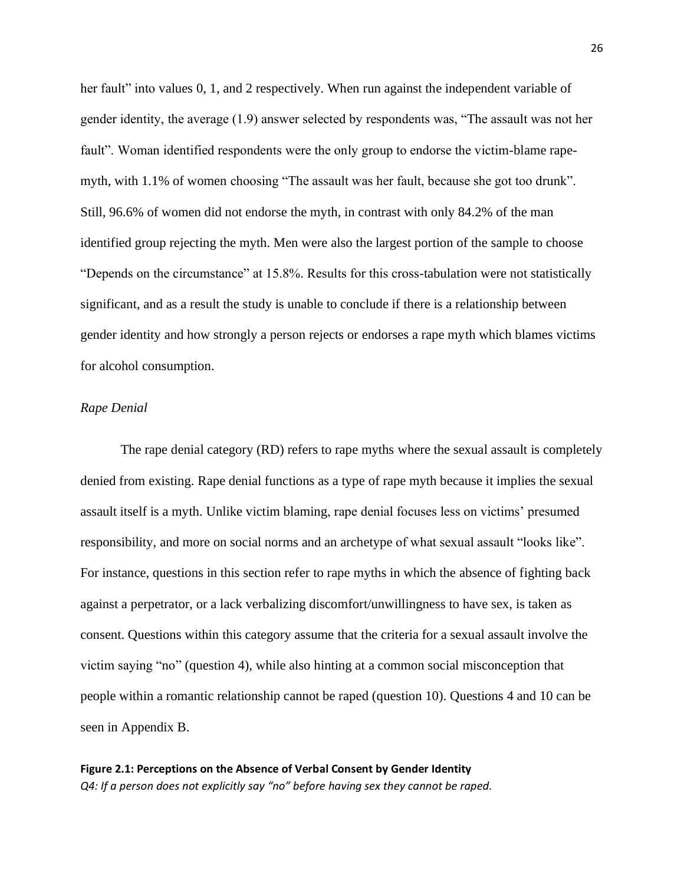her fault" into values 0, 1, and 2 respectively. When run against the independent variable of gender identity, the average (1.9) answer selected by respondents was, "The assault was not her fault". Woman identified respondents were the only group to endorse the victim-blame rapemyth, with 1.1% of women choosing "The assault was her fault, because she got too drunk". Still, 96.6% of women did not endorse the myth, in contrast with only 84.2% of the man identified group rejecting the myth. Men were also the largest portion of the sample to choose "Depends on the circumstance" at 15.8%. Results for this cross-tabulation were not statistically significant, and as a result the study is unable to conclude if there is a relationship between gender identity and how strongly a person rejects or endorses a rape myth which blames victims for alcohol consumption.

# *Rape Denial*

The rape denial category (RD) refers to rape myths where the sexual assault is completely denied from existing. Rape denial functions as a type of rape myth because it implies the sexual assault itself is a myth. Unlike victim blaming, rape denial focuses less on victims' presumed responsibility, and more on social norms and an archetype of what sexual assault "looks like". For instance, questions in this section refer to rape myths in which the absence of fighting back against a perpetrator, or a lack verbalizing discomfort/unwillingness to have sex, is taken as consent. Questions within this category assume that the criteria for a sexual assault involve the victim saying "no" (question 4), while also hinting at a common social misconception that people within a romantic relationship cannot be raped (question 10). Questions 4 and 10 can be seen in Appendix B.

**Figure 2.1: Perceptions on the Absence of Verbal Consent by Gender Identity** *Q4: If a person does not explicitly say "no" before having sex they cannot be raped.*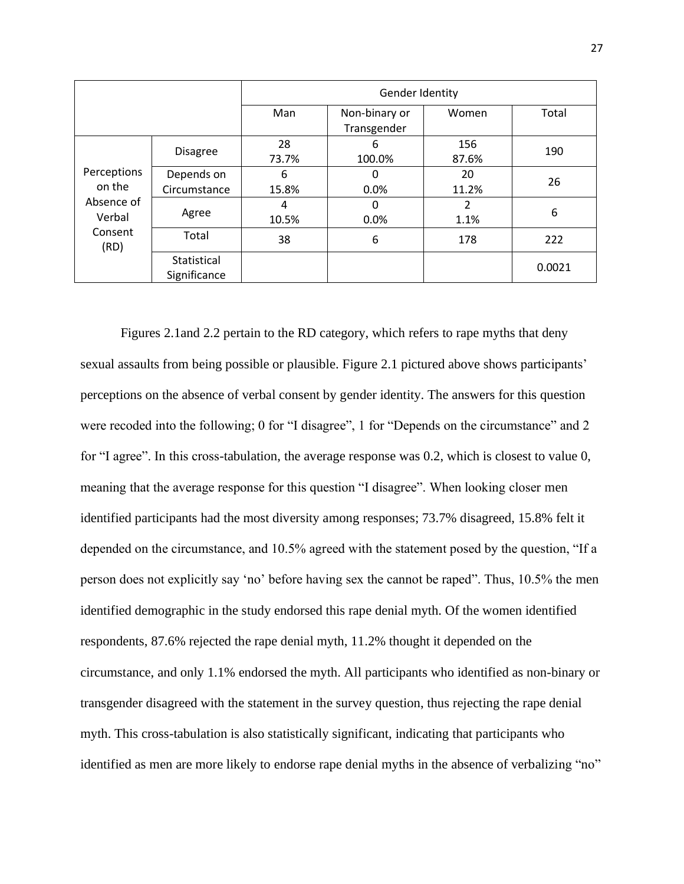|                                                                                                                                     |                             | Gender Identity |                              |              |        |  |  |
|-------------------------------------------------------------------------------------------------------------------------------------|-----------------------------|-----------------|------------------------------|--------------|--------|--|--|
|                                                                                                                                     |                             | Man             | Non-binary or<br>Transgender | Women        | Total  |  |  |
| <b>Disagree</b><br>Perceptions<br>Depends on<br>on the<br>Circumstance<br>Absence of<br>Agree<br>Verbal<br>Consent<br>Total<br>(RD) |                             | 28<br>73.7%     | 6<br>100.0%                  | 156<br>87.6% | 190    |  |  |
|                                                                                                                                     |                             | 6<br>15.8%      | 0<br>0.0%                    | 20<br>11.2%  | 26     |  |  |
|                                                                                                                                     |                             | 4<br>10.5%      | 0<br>0.0%                    | 2<br>1.1%    | 6      |  |  |
|                                                                                                                                     |                             | 38              | 6                            | 178          | 222    |  |  |
|                                                                                                                                     | Statistical<br>Significance |                 |                              |              | 0.0021 |  |  |

Figures 2.1and 2.2 pertain to the RD category, which refers to rape myths that deny sexual assaults from being possible or plausible. Figure 2.1 pictured above shows participants' perceptions on the absence of verbal consent by gender identity. The answers for this question were recoded into the following; 0 for "I disagree", 1 for "Depends on the circumstance" and 2 for "I agree". In this cross-tabulation, the average response was 0.2, which is closest to value 0, meaning that the average response for this question "I disagree". When looking closer men identified participants had the most diversity among responses; 73.7% disagreed, 15.8% felt it depended on the circumstance, and 10.5% agreed with the statement posed by the question, "If a person does not explicitly say 'no' before having sex the cannot be raped". Thus, 10.5% the men identified demographic in the study endorsed this rape denial myth. Of the women identified respondents, 87.6% rejected the rape denial myth, 11.2% thought it depended on the circumstance, and only 1.1% endorsed the myth. All participants who identified as non-binary or transgender disagreed with the statement in the survey question, thus rejecting the rape denial myth. This cross-tabulation is also statistically significant, indicating that participants who identified as men are more likely to endorse rape denial myths in the absence of verbalizing "no"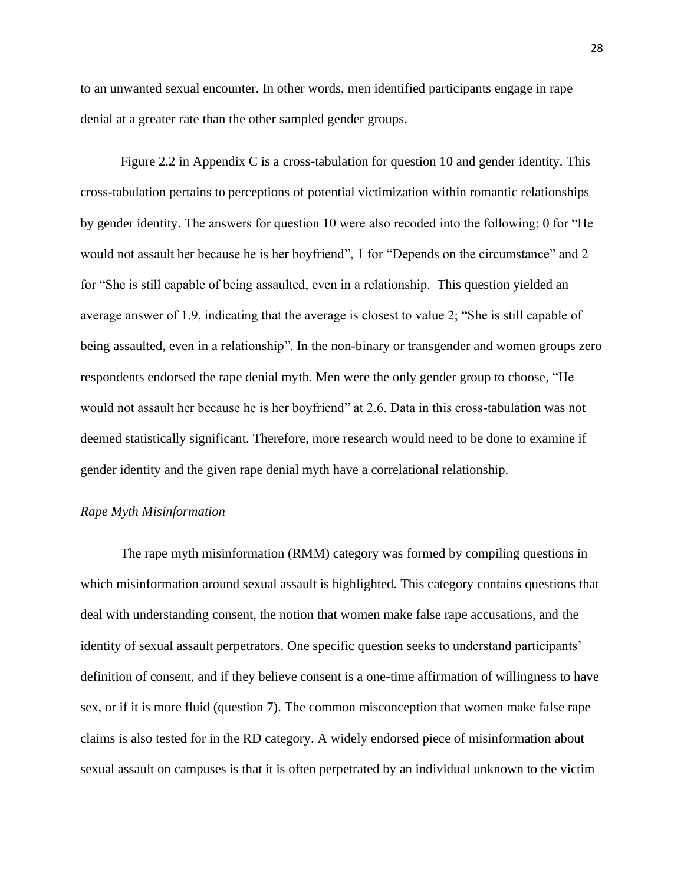to an unwanted sexual encounter. In other words, men identified participants engage in rape denial at a greater rate than the other sampled gender groups.

Figure 2.2 in Appendix C is a cross-tabulation for question 10 and gender identity. This cross-tabulation pertains to perceptions of potential victimization within romantic relationships by gender identity. The answers for question 10 were also recoded into the following; 0 for "He would not assault her because he is her boyfriend", 1 for "Depends on the circumstance" and 2 for "She is still capable of being assaulted, even in a relationship. This question yielded an average answer of 1.9, indicating that the average is closest to value 2; "She is still capable of being assaulted, even in a relationship". In the non-binary or transgender and women groups zero respondents endorsed the rape denial myth. Men were the only gender group to choose, "He would not assault her because he is her boyfriend" at 2.6. Data in this cross-tabulation was not deemed statistically significant. Therefore, more research would need to be done to examine if gender identity and the given rape denial myth have a correlational relationship.

# *Rape Myth Misinformation*

The rape myth misinformation (RMM) category was formed by compiling questions in which misinformation around sexual assault is highlighted. This category contains questions that deal with understanding consent, the notion that women make false rape accusations, and the identity of sexual assault perpetrators. One specific question seeks to understand participants' definition of consent, and if they believe consent is a one-time affirmation of willingness to have sex, or if it is more fluid (question 7). The common misconception that women make false rape claims is also tested for in the RD category. A widely endorsed piece of misinformation about sexual assault on campuses is that it is often perpetrated by an individual unknown to the victim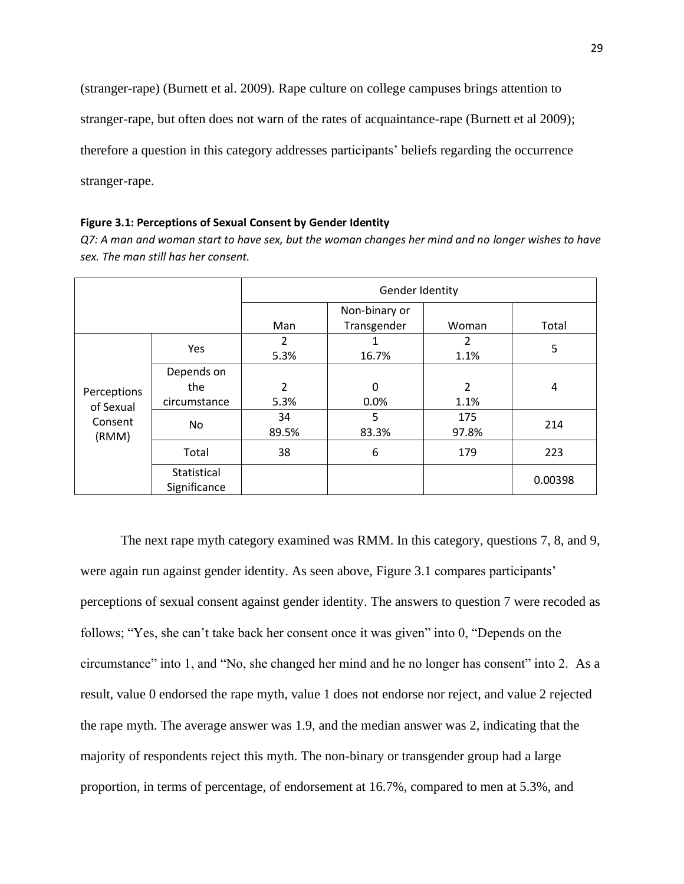(stranger-rape) (Burnett et al. 2009). Rape culture on college campuses brings attention to

stranger-rape, but often does not warn of the rates of acquaintance-rape (Burnett et al 2009);

therefore a question in this category addresses participants' beliefs regarding the occurrence

stranger-rape.

#### **Figure 3.1: Perceptions of Sexual Consent by Gender Identity**

*Q7: A man and woman start to have sex, but the woman changes her mind and no longer wishes to have sex. The man still has her consent.*

|                                              |                             |                                              | Gender Identity      |                        |         |
|----------------------------------------------|-----------------------------|----------------------------------------------|----------------------|------------------------|---------|
|                                              | Yes<br>Depends on           |                                              | Non-binary or        |                        |         |
|                                              |                             | Man                                          | Transgender          | Woman                  | Total   |
|                                              |                             | $\overline{2}$<br>2<br>1.1%<br>5.3%<br>16.7% | 5                    |                        |         |
| Perceptions<br>of Sexual<br>Consent<br>(RMM) | the<br>circumstance         | $\overline{2}$<br>5.3%                       | $\mathbf{0}$<br>0.0% | $\overline{2}$<br>1.1% | 4       |
|                                              | No                          | 34<br>89.5%                                  | 5<br>83.3%           | 175<br>97.8%           | 214     |
|                                              | Total                       | 38                                           | 6                    | 179                    | 223     |
|                                              | Statistical<br>Significance |                                              |                      |                        | 0.00398 |

The next rape myth category examined was RMM. In this category, questions 7, 8, and 9, were again run against gender identity. As seen above, Figure 3.1 compares participants' perceptions of sexual consent against gender identity. The answers to question 7 were recoded as follows; "Yes, she can't take back her consent once it was given" into 0, "Depends on the circumstance" into 1, and "No, she changed her mind and he no longer has consent" into 2. As a result, value 0 endorsed the rape myth, value 1 does not endorse nor reject, and value 2 rejected the rape myth. The average answer was 1.9, and the median answer was 2, indicating that the majority of respondents reject this myth. The non-binary or transgender group had a large proportion, in terms of percentage, of endorsement at 16.7%, compared to men at 5.3%, and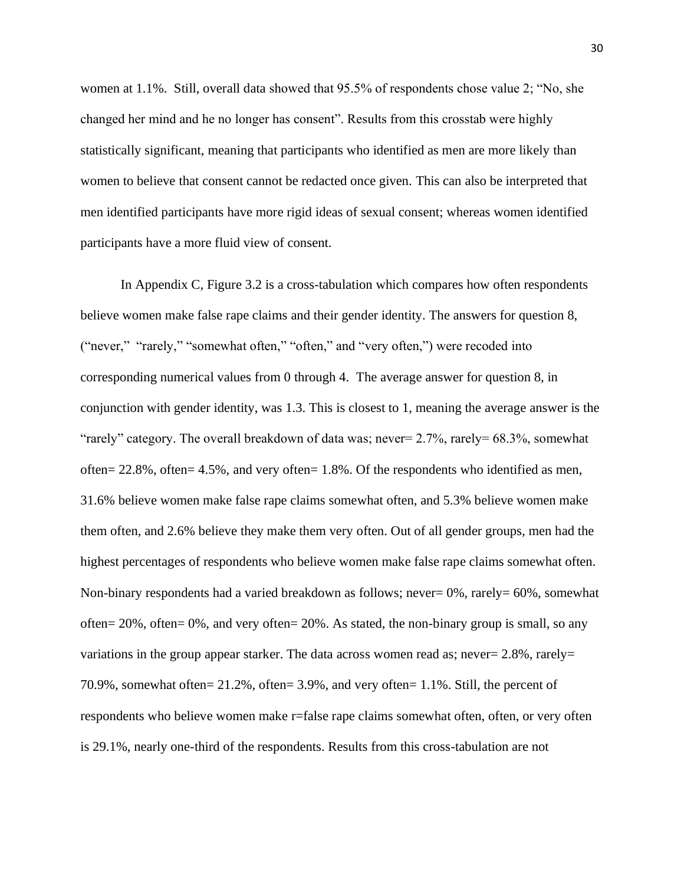women at 1.1%. Still, overall data showed that 95.5% of respondents chose value 2; "No, she changed her mind and he no longer has consent". Results from this crosstab were highly statistically significant, meaning that participants who identified as men are more likely than women to believe that consent cannot be redacted once given. This can also be interpreted that men identified participants have more rigid ideas of sexual consent; whereas women identified participants have a more fluid view of consent.

In Appendix C, Figure 3.2 is a cross-tabulation which compares how often respondents believe women make false rape claims and their gender identity. The answers for question 8, ("never," "rarely," "somewhat often," "often," and "very often,") were recoded into corresponding numerical values from 0 through 4. The average answer for question 8, in conjunction with gender identity, was 1.3. This is closest to 1, meaning the average answer is the "rarely" category. The overall breakdown of data was; never= 2.7%, rarely= 68.3%, somewhat often= 22.8%, often= 4.5%, and very often= 1.8%. Of the respondents who identified as men, 31.6% believe women make false rape claims somewhat often, and 5.3% believe women make them often, and 2.6% believe they make them very often. Out of all gender groups, men had the highest percentages of respondents who believe women make false rape claims somewhat often. Non-binary respondents had a varied breakdown as follows; never=  $0\%$ , rarely=  $60\%$ , somewhat often=  $20\%$ , often=  $0\%$ , and very often=  $20\%$ . As stated, the non-binary group is small, so any variations in the group appear starker. The data across women read as; never= 2.8%, rarely= 70.9%, somewhat often= 21.2%, often= 3.9%, and very often= 1.1%. Still, the percent of respondents who believe women make r=false rape claims somewhat often, often, or very often is 29.1%, nearly one-third of the respondents. Results from this cross-tabulation are not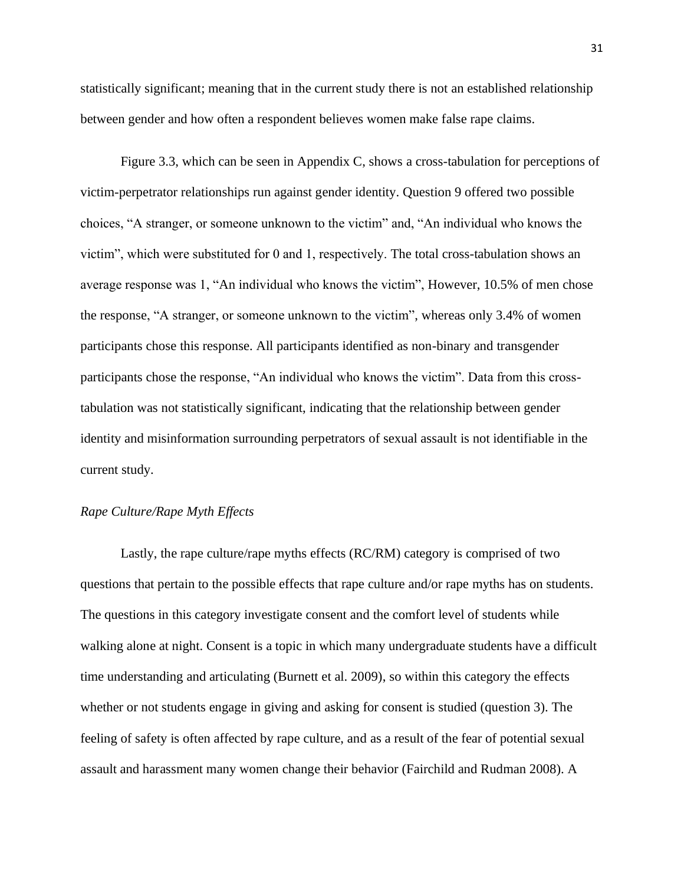statistically significant; meaning that in the current study there is not an established relationship between gender and how often a respondent believes women make false rape claims.

Figure 3.3, which can be seen in Appendix C, shows a cross-tabulation for perceptions of victim-perpetrator relationships run against gender identity. Question 9 offered two possible choices, "A stranger, or someone unknown to the victim" and, "An individual who knows the victim", which were substituted for 0 and 1, respectively. The total cross-tabulation shows an average response was 1, "An individual who knows the victim", However, 10.5% of men chose the response, "A stranger, or someone unknown to the victim", whereas only 3.4% of women participants chose this response. All participants identified as non-binary and transgender participants chose the response, "An individual who knows the victim". Data from this crosstabulation was not statistically significant, indicating that the relationship between gender identity and misinformation surrounding perpetrators of sexual assault is not identifiable in the current study.

# *Rape Culture/Rape Myth Effects*

Lastly, the rape culture/rape myths effects (RC/RM) category is comprised of two questions that pertain to the possible effects that rape culture and/or rape myths has on students. The questions in this category investigate consent and the comfort level of students while walking alone at night. Consent is a topic in which many undergraduate students have a difficult time understanding and articulating (Burnett et al. 2009), so within this category the effects whether or not students engage in giving and asking for consent is studied (question 3). The feeling of safety is often affected by rape culture, and as a result of the fear of potential sexual assault and harassment many women change their behavior (Fairchild and Rudman 2008). A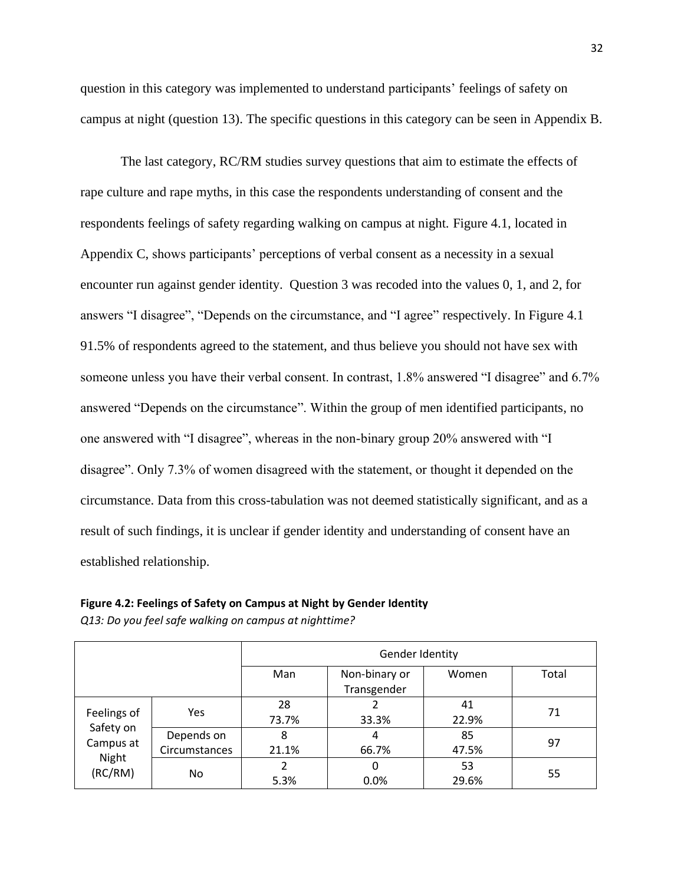question in this category was implemented to understand participants' feelings of safety on campus at night (question 13). The specific questions in this category can be seen in Appendix B.

The last category, RC/RM studies survey questions that aim to estimate the effects of rape culture and rape myths, in this case the respondents understanding of consent and the respondents feelings of safety regarding walking on campus at night. Figure 4.1, located in Appendix C, shows participants' perceptions of verbal consent as a necessity in a sexual encounter run against gender identity. Question 3 was recoded into the values 0, 1, and 2, for answers "I disagree", "Depends on the circumstance, and "I agree" respectively. In Figure 4.1 91.5% of respondents agreed to the statement, and thus believe you should not have sex with someone unless you have their verbal consent. In contrast, 1.8% answered "I disagree" and 6.7% answered "Depends on the circumstance". Within the group of men identified participants, no one answered with "I disagree", whereas in the non-binary group 20% answered with "I disagree". Only 7.3% of women disagreed with the statement, or thought it depended on the circumstance. Data from this cross-tabulation was not deemed statistically significant, and as a result of such findings, it is unclear if gender identity and understanding of consent have an established relationship.

|                                                           |                             | Gender Identity |                              |             |       |  |  |  |
|-----------------------------------------------------------|-----------------------------|-----------------|------------------------------|-------------|-------|--|--|--|
|                                                           |                             | Man             | Non-binary or<br>Transgender | Women       | Total |  |  |  |
| Feelings of<br>Safety on<br>Campus at<br>Night<br>(RC/RM) | <b>Yes</b>                  | 28<br>73.7%     | 33.3%                        | 41<br>22.9% | 71    |  |  |  |
|                                                           | Depends on<br>Circumstances | 8<br>21.1%      | 4<br>66.7%                   | 85<br>47.5% | 97    |  |  |  |
|                                                           | No.                         | 2<br>5.3%       | 0<br>0.0%                    | 53<br>29.6% | 55    |  |  |  |

*Q13: Do you feel safe walking on campus at nighttime?*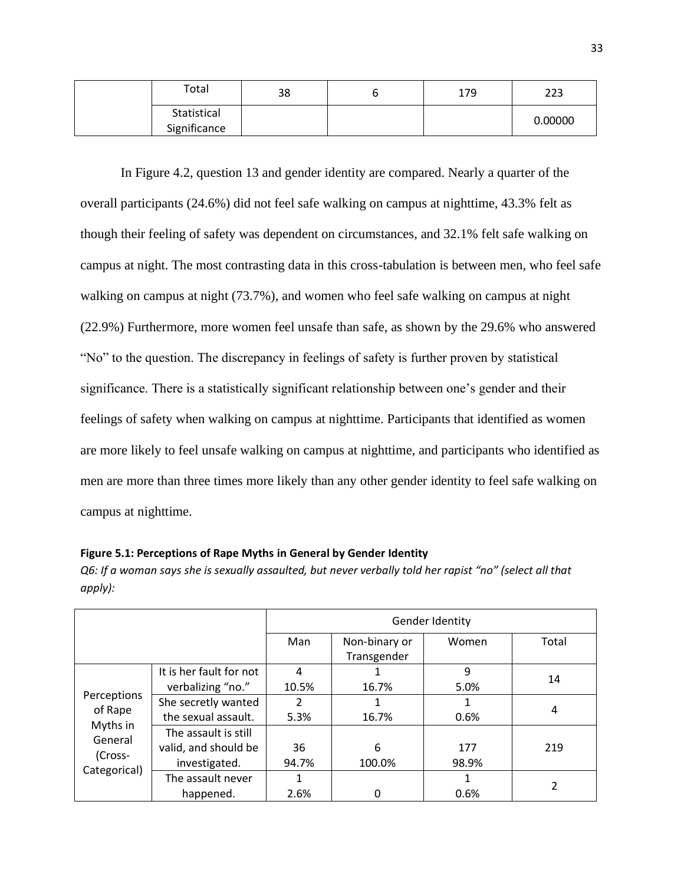| Total                       | 38 | 179 | 223     |
|-----------------------------|----|-----|---------|
| Statistical<br>Significance |    |     | 0.00000 |

In Figure 4.2, question 13 and gender identity are compared. Nearly a quarter of the overall participants (24.6%) did not feel safe walking on campus at nighttime, 43.3% felt as though their feeling of safety was dependent on circumstances, and 32.1% felt safe walking on campus at night. The most contrasting data in this cross-tabulation is between men, who feel safe walking on campus at night (73.7%), and women who feel safe walking on campus at night (22.9%) Furthermore, more women feel unsafe than safe, as shown by the 29.6% who answered "No" to the question. The discrepancy in feelings of safety is further proven by statistical significance. There is a statistically significant relationship between one's gender and their feelings of safety when walking on campus at nighttime. Participants that identified as women are more likely to feel unsafe walking on campus at nighttime, and participants who identified as men are more than three times more likely than any other gender identity to feel safe walking on campus at nighttime.

| Figure 5.1: Perceptions of Rape Myths in General by Gender Identity |  |  |  |  |  |  |  |  |
|---------------------------------------------------------------------|--|--|--|--|--|--|--|--|
|---------------------------------------------------------------------|--|--|--|--|--|--|--|--|

*Q6: If a woman says she is sexually assaulted, but never verbally told her rapist "no" (select all that apply):*

|                                                          |                                                               | Gender Identity       |                              |              |       |  |  |
|----------------------------------------------------------|---------------------------------------------------------------|-----------------------|------------------------------|--------------|-------|--|--|
|                                                          |                                                               | Man                   | Non-binary or<br>Transgender | Women        | Total |  |  |
|                                                          | It is her fault for not<br>verbalizing "no."                  | 4<br>10.5%            | 16.7%                        | 9<br>5.0%    | 14    |  |  |
| Perceptions<br>of Rape<br>Myths in<br>General<br>(Cross- | She secretly wanted<br>the sexual assault.                    | $\mathfrak z$<br>5.3% | 16.7%                        | 0.6%         | 4     |  |  |
|                                                          | The assault is still<br>valid, and should be<br>investigated. | 36<br>94.7%           | 6<br>100.0%                  | 177<br>98.9% | 219   |  |  |
| Categorical)                                             | The assault never<br>happened.                                | 1<br>2.6%             |                              | 0.6%         | 2     |  |  |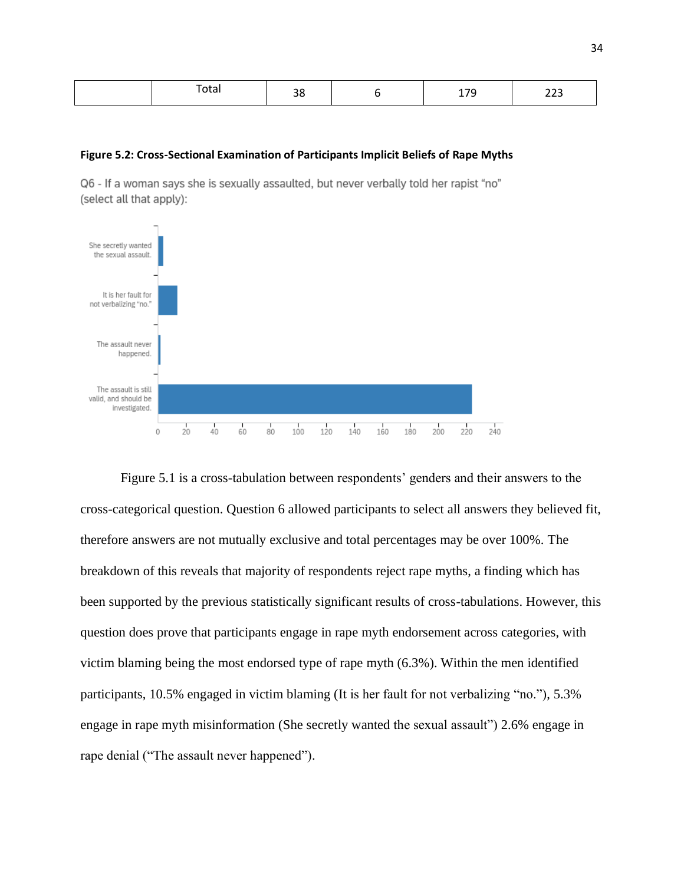| $\overline{\phantom{0}}$<br>Total | 38 |  | 170<br>. | $\sim$<br>تعم |
|-----------------------------------|----|--|----------|---------------|
|-----------------------------------|----|--|----------|---------------|

#### **Figure 5.2: Cross-Sectional Examination of Participants Implicit Beliefs of Rape Myths**

Q6 - If a woman says she is sexually assaulted, but never verbally told her rapist "no" (select all that apply):



Figure 5.1 is a cross-tabulation between respondents' genders and their answers to the cross-categorical question. Question 6 allowed participants to select all answers they believed fit, therefore answers are not mutually exclusive and total percentages may be over 100%. The breakdown of this reveals that majority of respondents reject rape myths, a finding which has been supported by the previous statistically significant results of cross-tabulations. However, this question does prove that participants engage in rape myth endorsement across categories, with victim blaming being the most endorsed type of rape myth (6.3%). Within the men identified participants, 10.5% engaged in victim blaming (It is her fault for not verbalizing "no."), 5.3% engage in rape myth misinformation (She secretly wanted the sexual assault") 2.6% engage in rape denial ("The assault never happened").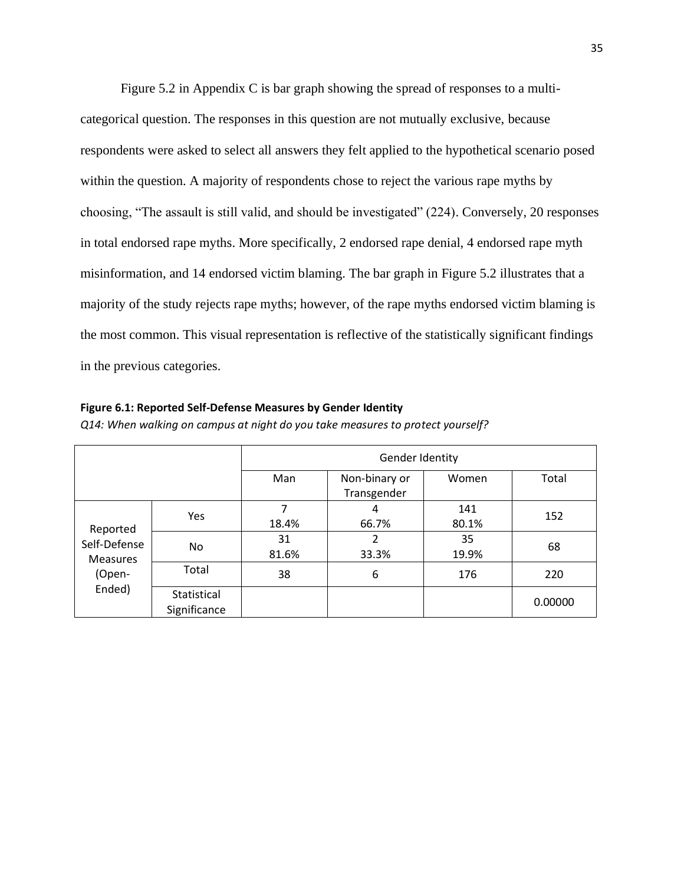Figure 5.2 in Appendix C is bar graph showing the spread of responses to a multicategorical question. The responses in this question are not mutually exclusive, because respondents were asked to select all answers they felt applied to the hypothetical scenario posed within the question. A majority of respondents chose to reject the various rape myths by choosing, "The assault is still valid, and should be investigated" (224). Conversely, 20 responses in total endorsed rape myths. More specifically, 2 endorsed rape denial, 4 endorsed rape myth misinformation, and 14 endorsed victim blaming. The bar graph in Figure 5.2 illustrates that a majority of the study rejects rape myths; however, of the rape myths endorsed victim blaming is the most common. This visual representation is reflective of the statistically significant findings in the previous categories.

#### **Figure 6.1: Reported Self-Defense Measures by Gender Identity**

|                                                                 |                             | Gender Identity |                              |              |         |  |
|-----------------------------------------------------------------|-----------------------------|-----------------|------------------------------|--------------|---------|--|
|                                                                 |                             | Man             | Non-binary or<br>Transgender | Women        | Total   |  |
| Reported<br>Self-Defense<br><b>Measures</b><br>(Open-<br>Ended) | Yes                         | 7<br>18.4%      | 4<br>66.7%                   | 141<br>80.1% | 152     |  |
|                                                                 | No.                         | 31<br>81.6%     | 2<br>33.3%                   | 35<br>19.9%  | 68      |  |
|                                                                 | Total                       | 38              | 6                            | 176          | 220     |  |
|                                                                 | Statistical<br>Significance |                 |                              |              | 0.00000 |  |

*Q14: When walking on campus at night do you take measures to protect yourself?*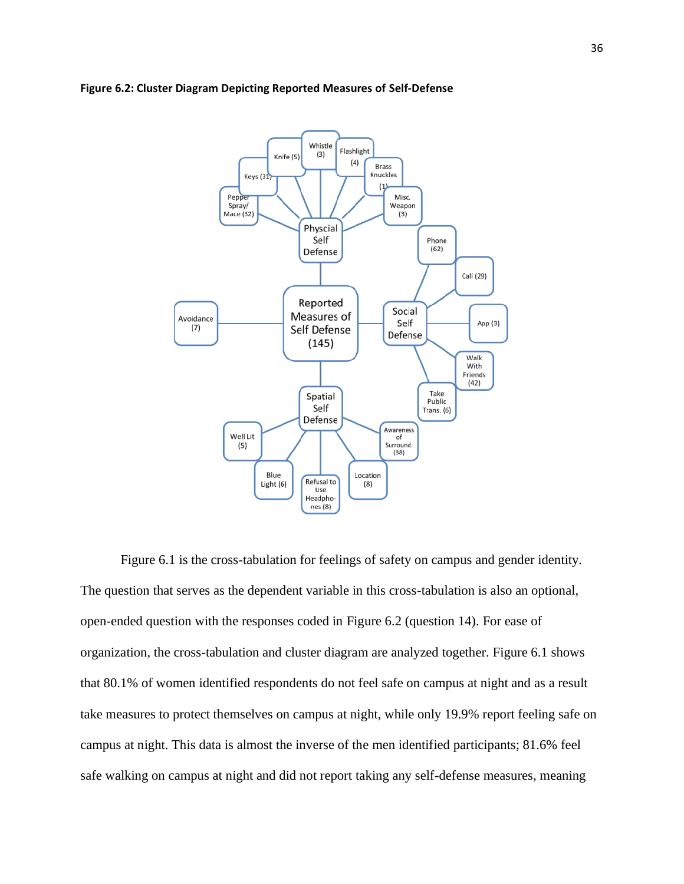



Figure 6.1 is the cross-tabulation for feelings of safety on campus and gender identity. The question that serves as the dependent variable in this cross-tabulation is also an optional, open-ended question with the responses coded in Figure 6.2 (question 14). For ease of organization, the cross-tabulation and cluster diagram are analyzed together. Figure 6.1 shows that 80.1% of women identified respondents do not feel safe on campus at night and as a result take measures to protect themselves on campus at night, while only 19.9% report feeling safe on campus at night. This data is almost the inverse of the men identified participants; 81.6% feel safe walking on campus at night and did not report taking any self-defense measures, meaning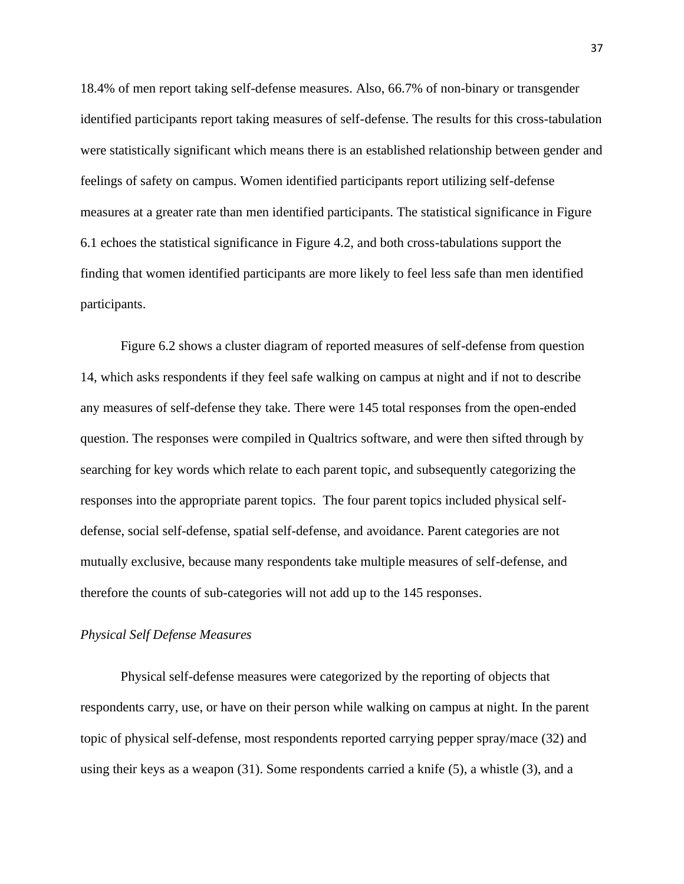18.4% of men report taking self-defense measures. Also, 66.7% of non-binary or transgender identified participants report taking measures of self-defense. The results for this cross-tabulation were statistically significant which means there is an established relationship between gender and feelings of safety on campus. Women identified participants report utilizing self-defense measures at a greater rate than men identified participants. The statistical significance in Figure 6.1 echoes the statistical significance in Figure 4.2, and both cross-tabulations support the finding that women identified participants are more likely to feel less safe than men identified participants.

Figure 6.2 shows a cluster diagram of reported measures of self-defense from question 14, which asks respondents if they feel safe walking on campus at night and if not to describe any measures of self-defense they take. There were 145 total responses from the open-ended question. The responses were compiled in Qualtrics software, and were then sifted through by searching for key words which relate to each parent topic, and subsequently categorizing the responses into the appropriate parent topics. The four parent topics included physical selfdefense, social self-defense, spatial self-defense, and avoidance. Parent categories are not mutually exclusive, because many respondents take multiple measures of self-defense, and therefore the counts of sub-categories will not add up to the 145 responses.

# *Physical Self Defense Measures*

Physical self-defense measures were categorized by the reporting of objects that respondents carry, use, or have on their person while walking on campus at night. In the parent topic of physical self-defense, most respondents reported carrying pepper spray/mace (32) and using their keys as a weapon (31). Some respondents carried a knife (5), a whistle (3), and a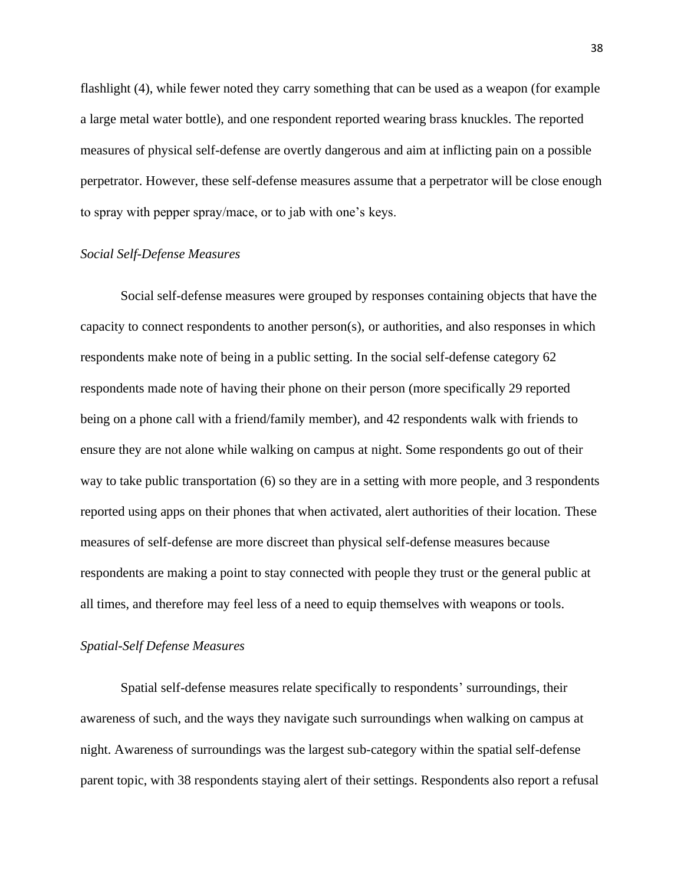flashlight (4), while fewer noted they carry something that can be used as a weapon (for example a large metal water bottle), and one respondent reported wearing brass knuckles. The reported measures of physical self-defense are overtly dangerous and aim at inflicting pain on a possible perpetrator. However, these self-defense measures assume that a perpetrator will be close enough to spray with pepper spray/mace, or to jab with one's keys.

# *Social Self-Defense Measures*

Social self-defense measures were grouped by responses containing objects that have the capacity to connect respondents to another person(s), or authorities, and also responses in which respondents make note of being in a public setting. In the social self-defense category 62 respondents made note of having their phone on their person (more specifically 29 reported being on a phone call with a friend/family member), and 42 respondents walk with friends to ensure they are not alone while walking on campus at night. Some respondents go out of their way to take public transportation (6) so they are in a setting with more people, and 3 respondents reported using apps on their phones that when activated, alert authorities of their location. These measures of self-defense are more discreet than physical self-defense measures because respondents are making a point to stay connected with people they trust or the general public at all times, and therefore may feel less of a need to equip themselves with weapons or tools.

#### *Spatial-Self Defense Measures*

Spatial self-defense measures relate specifically to respondents' surroundings, their awareness of such, and the ways they navigate such surroundings when walking on campus at night. Awareness of surroundings was the largest sub-category within the spatial self-defense parent topic, with 38 respondents staying alert of their settings. Respondents also report a refusal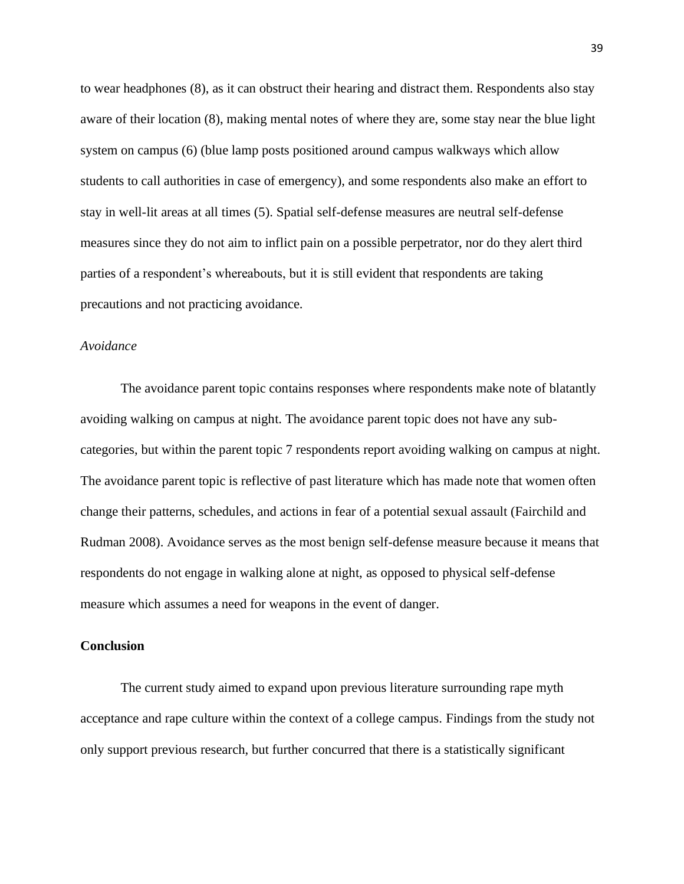to wear headphones (8), as it can obstruct their hearing and distract them. Respondents also stay aware of their location (8), making mental notes of where they are, some stay near the blue light system on campus (6) (blue lamp posts positioned around campus walkways which allow students to call authorities in case of emergency), and some respondents also make an effort to stay in well-lit areas at all times (5). Spatial self-defense measures are neutral self-defense measures since they do not aim to inflict pain on a possible perpetrator, nor do they alert third parties of a respondent's whereabouts, but it is still evident that respondents are taking precautions and not practicing avoidance.

# *Avoidance*

The avoidance parent topic contains responses where respondents make note of blatantly avoiding walking on campus at night. The avoidance parent topic does not have any subcategories, but within the parent topic 7 respondents report avoiding walking on campus at night. The avoidance parent topic is reflective of past literature which has made note that women often change their patterns, schedules, and actions in fear of a potential sexual assault (Fairchild and Rudman 2008). Avoidance serves as the most benign self-defense measure because it means that respondents do not engage in walking alone at night, as opposed to physical self-defense measure which assumes a need for weapons in the event of danger.

#### **Conclusion**

The current study aimed to expand upon previous literature surrounding rape myth acceptance and rape culture within the context of a college campus. Findings from the study not only support previous research, but further concurred that there is a statistically significant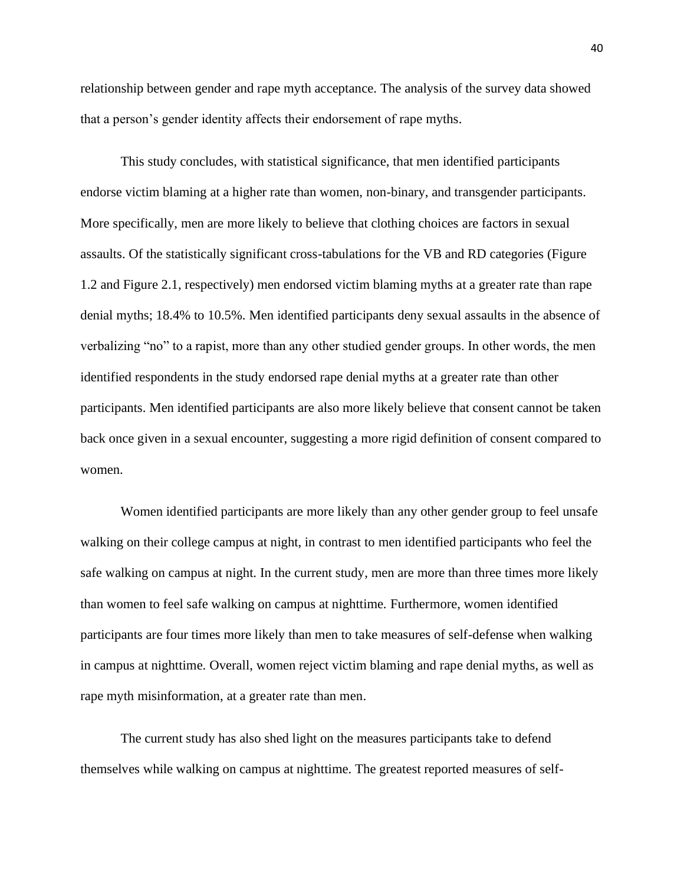relationship between gender and rape myth acceptance. The analysis of the survey data showed that a person's gender identity affects their endorsement of rape myths.

This study concludes, with statistical significance, that men identified participants endorse victim blaming at a higher rate than women, non-binary, and transgender participants. More specifically, men are more likely to believe that clothing choices are factors in sexual assaults. Of the statistically significant cross-tabulations for the VB and RD categories (Figure 1.2 and Figure 2.1, respectively) men endorsed victim blaming myths at a greater rate than rape denial myths; 18.4% to 10.5%. Men identified participants deny sexual assaults in the absence of verbalizing "no" to a rapist, more than any other studied gender groups. In other words, the men identified respondents in the study endorsed rape denial myths at a greater rate than other participants. Men identified participants are also more likely believe that consent cannot be taken back once given in a sexual encounter, suggesting a more rigid definition of consent compared to women.

Women identified participants are more likely than any other gender group to feel unsafe walking on their college campus at night, in contrast to men identified participants who feel the safe walking on campus at night. In the current study, men are more than three times more likely than women to feel safe walking on campus at nighttime. Furthermore, women identified participants are four times more likely than men to take measures of self-defense when walking in campus at nighttime. Overall, women reject victim blaming and rape denial myths, as well as rape myth misinformation, at a greater rate than men.

The current study has also shed light on the measures participants take to defend themselves while walking on campus at nighttime. The greatest reported measures of self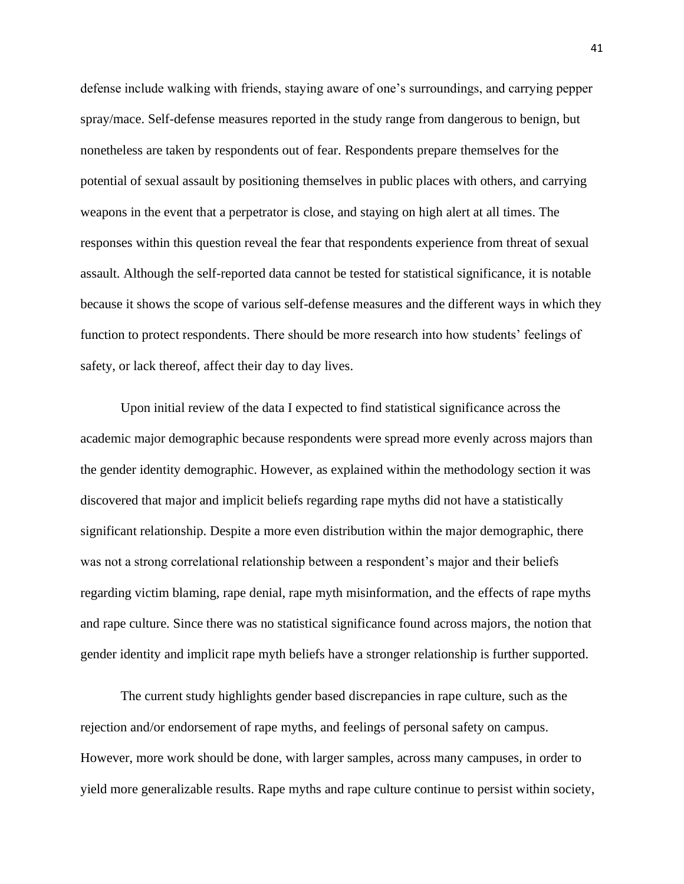defense include walking with friends, staying aware of one's surroundings, and carrying pepper spray/mace. Self-defense measures reported in the study range from dangerous to benign, but nonetheless are taken by respondents out of fear. Respondents prepare themselves for the potential of sexual assault by positioning themselves in public places with others, and carrying weapons in the event that a perpetrator is close, and staying on high alert at all times. The responses within this question reveal the fear that respondents experience from threat of sexual assault. Although the self-reported data cannot be tested for statistical significance, it is notable because it shows the scope of various self-defense measures and the different ways in which they function to protect respondents. There should be more research into how students' feelings of safety, or lack thereof, affect their day to day lives.

Upon initial review of the data I expected to find statistical significance across the academic major demographic because respondents were spread more evenly across majors than the gender identity demographic. However, as explained within the methodology section it was discovered that major and implicit beliefs regarding rape myths did not have a statistically significant relationship. Despite a more even distribution within the major demographic, there was not a strong correlational relationship between a respondent's major and their beliefs regarding victim blaming, rape denial, rape myth misinformation, and the effects of rape myths and rape culture. Since there was no statistical significance found across majors, the notion that gender identity and implicit rape myth beliefs have a stronger relationship is further supported.

The current study highlights gender based discrepancies in rape culture, such as the rejection and/or endorsement of rape myths, and feelings of personal safety on campus. However, more work should be done, with larger samples, across many campuses, in order to yield more generalizable results. Rape myths and rape culture continue to persist within society,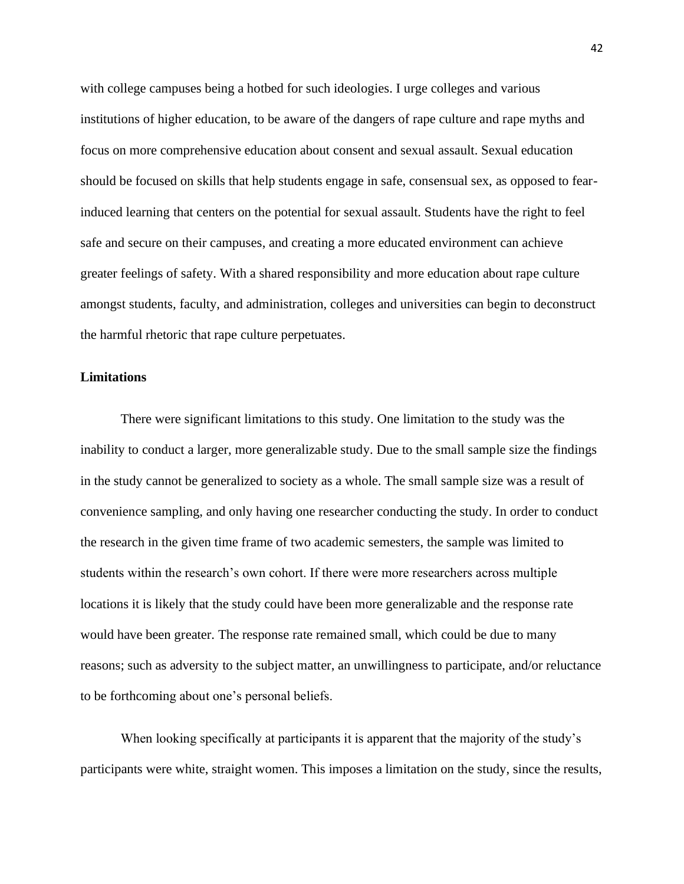with college campuses being a hotbed for such ideologies. I urge colleges and various institutions of higher education, to be aware of the dangers of rape culture and rape myths and focus on more comprehensive education about consent and sexual assault. Sexual education should be focused on skills that help students engage in safe, consensual sex, as opposed to fearinduced learning that centers on the potential for sexual assault. Students have the right to feel safe and secure on their campuses, and creating a more educated environment can achieve greater feelings of safety. With a shared responsibility and more education about rape culture amongst students, faculty, and administration, colleges and universities can begin to deconstruct the harmful rhetoric that rape culture perpetuates.

## **Limitations**

There were significant limitations to this study. One limitation to the study was the inability to conduct a larger, more generalizable study. Due to the small sample size the findings in the study cannot be generalized to society as a whole. The small sample size was a result of convenience sampling, and only having one researcher conducting the study. In order to conduct the research in the given time frame of two academic semesters, the sample was limited to students within the research's own cohort. If there were more researchers across multiple locations it is likely that the study could have been more generalizable and the response rate would have been greater. The response rate remained small, which could be due to many reasons; such as adversity to the subject matter, an unwillingness to participate, and/or reluctance to be forthcoming about one's personal beliefs.

When looking specifically at participants it is apparent that the majority of the study's participants were white, straight women. This imposes a limitation on the study, since the results,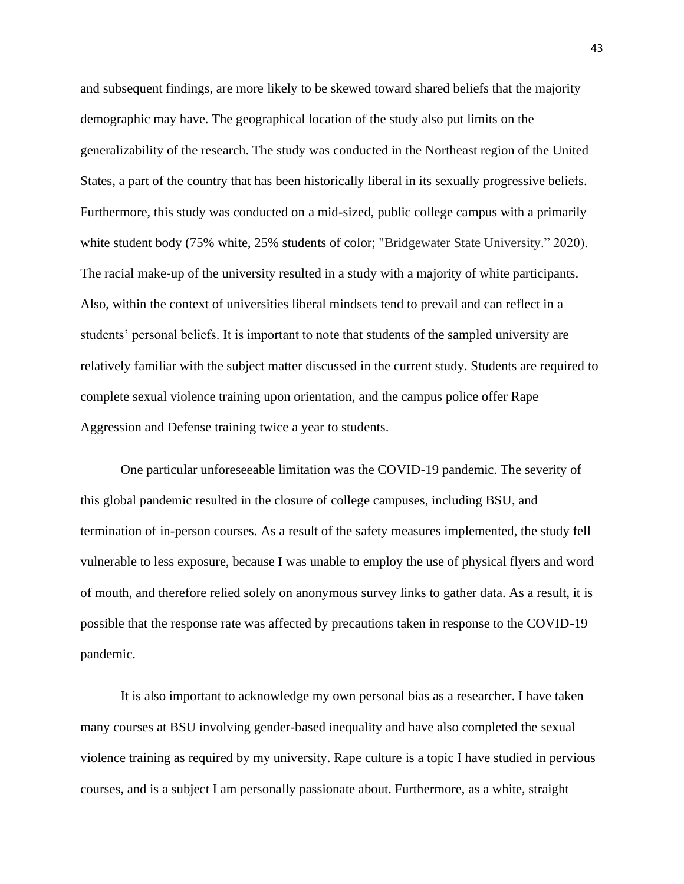and subsequent findings, are more likely to be skewed toward shared beliefs that the majority demographic may have. The geographical location of the study also put limits on the generalizability of the research. The study was conducted in the Northeast region of the United States, a part of the country that has been historically liberal in its sexually progressive beliefs. Furthermore, this study was conducted on a mid-sized, public college campus with a primarily white student body (75% white, 25% students of color; "Bridgewater State University." 2020). The racial make-up of the university resulted in a study with a majority of white participants. Also, within the context of universities liberal mindsets tend to prevail and can reflect in a students' personal beliefs. It is important to note that students of the sampled university are relatively familiar with the subject matter discussed in the current study. Students are required to complete sexual violence training upon orientation, and the campus police offer Rape Aggression and Defense training twice a year to students.

One particular unforeseeable limitation was the COVID-19 pandemic. The severity of this global pandemic resulted in the closure of college campuses, including BSU, and termination of in-person courses. As a result of the safety measures implemented, the study fell vulnerable to less exposure, because I was unable to employ the use of physical flyers and word of mouth, and therefore relied solely on anonymous survey links to gather data. As a result, it is possible that the response rate was affected by precautions taken in response to the COVID-19 pandemic.

It is also important to acknowledge my own personal bias as a researcher. I have taken many courses at BSU involving gender-based inequality and have also completed the sexual violence training as required by my university. Rape culture is a topic I have studied in pervious courses, and is a subject I am personally passionate about. Furthermore, as a white, straight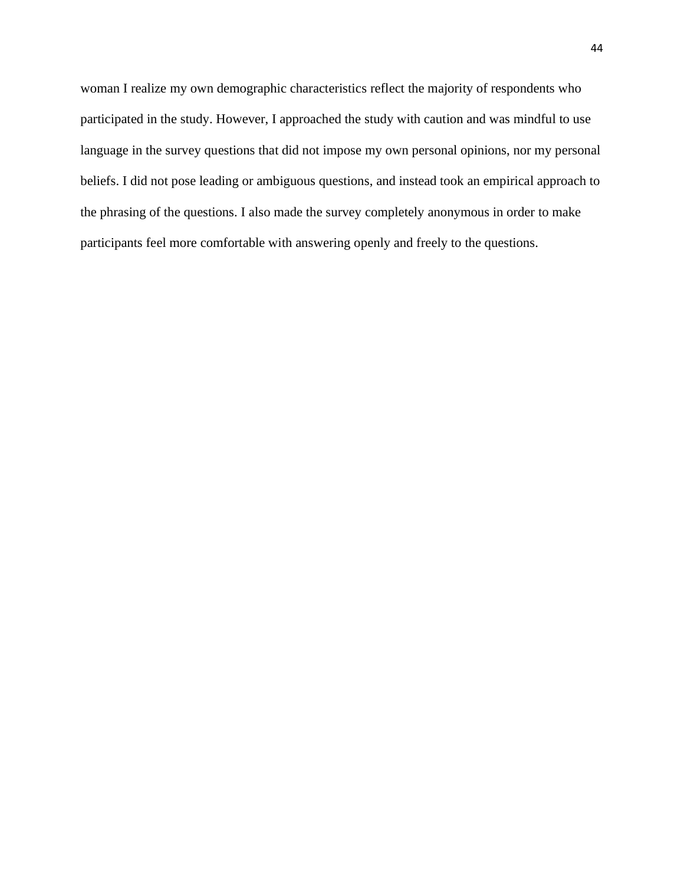woman I realize my own demographic characteristics reflect the majority of respondents who participated in the study. However, I approached the study with caution and was mindful to use language in the survey questions that did not impose my own personal opinions, nor my personal beliefs. I did not pose leading or ambiguous questions, and instead took an empirical approach to the phrasing of the questions. I also made the survey completely anonymous in order to make participants feel more comfortable with answering openly and freely to the questions.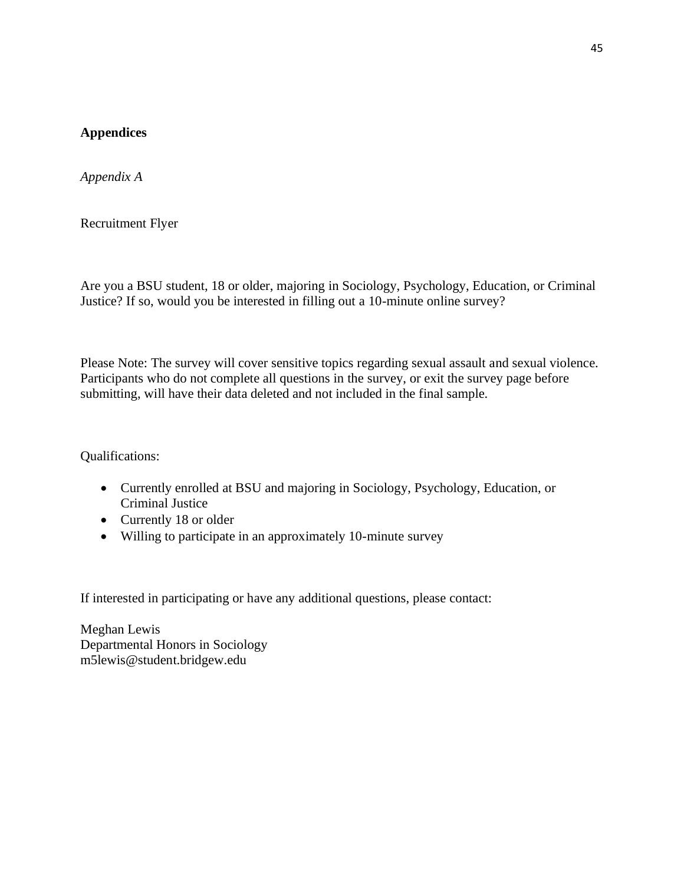# **Appendices**

*Appendix A*

Recruitment Flyer

Are you a BSU student, 18 or older, majoring in Sociology, Psychology, Education, or Criminal Justice? If so, would you be interested in filling out a 10-minute online survey?

Please Note: The survey will cover sensitive topics regarding sexual assault and sexual violence. Participants who do not complete all questions in the survey, or exit the survey page before submitting, will have their data deleted and not included in the final sample.

Qualifications:

- Currently enrolled at BSU and majoring in Sociology, Psychology, Education, or Criminal Justice
- Currently 18 or older
- Willing to participate in an approximately 10-minute survey

If interested in participating or have any additional questions, please contact:

Meghan Lewis Departmental Honors in Sociology m5lewis@student.bridgew.edu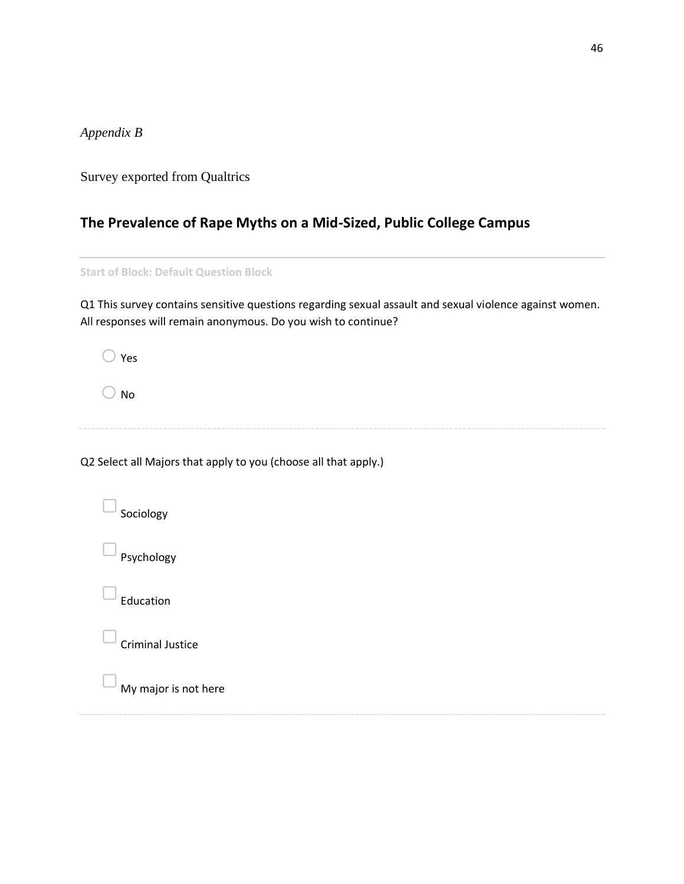*Appendix B*

Survey exported from Qualtrics

# **The Prevalence of Rape Myths on a Mid-Sized, Public College Campus**

**Start of Block: Default Question Block**

Q1 This survey contains sensitive questions regarding sexual assault and sexual violence against women. All responses will remain anonymous. Do you wish to continue?

 $\bigcirc$  Yes

 $\bigcirc$  No

Q2 Select all Majors that apply to you (choose all that apply.)

Sociology Psychology **Education** ▢Criminal Justice ▢My major is not here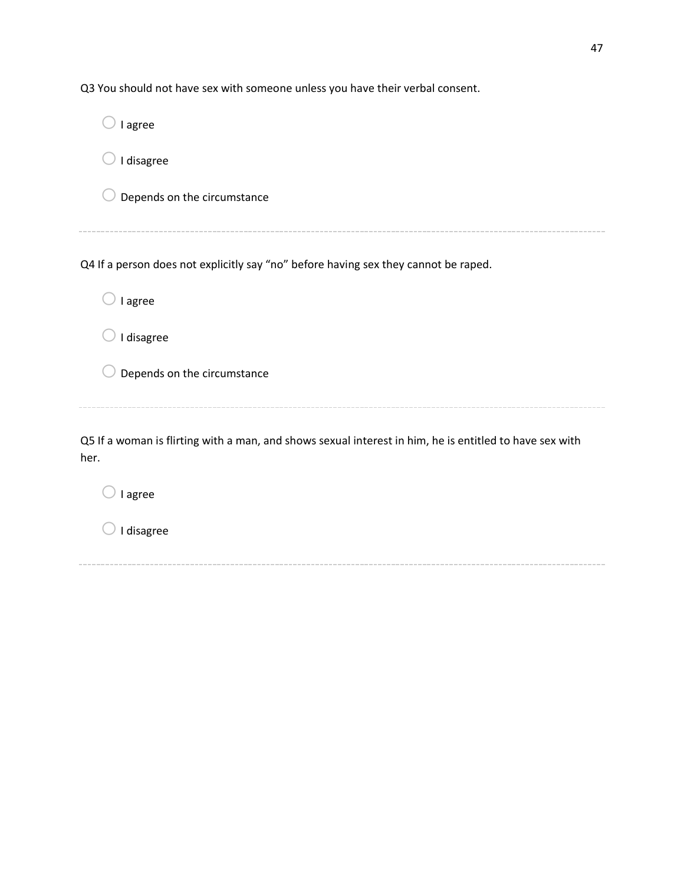Q3 You should not have sex with someone unless you have their verbal consent.  $\bigcirc$  I agree  $\bigcirc$  I disagree  $\bigcirc$  Depends on the circumstance Q4 If a person does not explicitly say "no" before having sex they cannot be raped.  $\bigcirc$  I agree  $\bigcirc$  I disagree  $\bigcirc$  Depends on the circumstance Q5 If a woman is flirting with a man, and shows sexual interest in him, he is entitled to have sex with her.  $\bigcirc$  I agree  $\bigcirc$  I disagree

47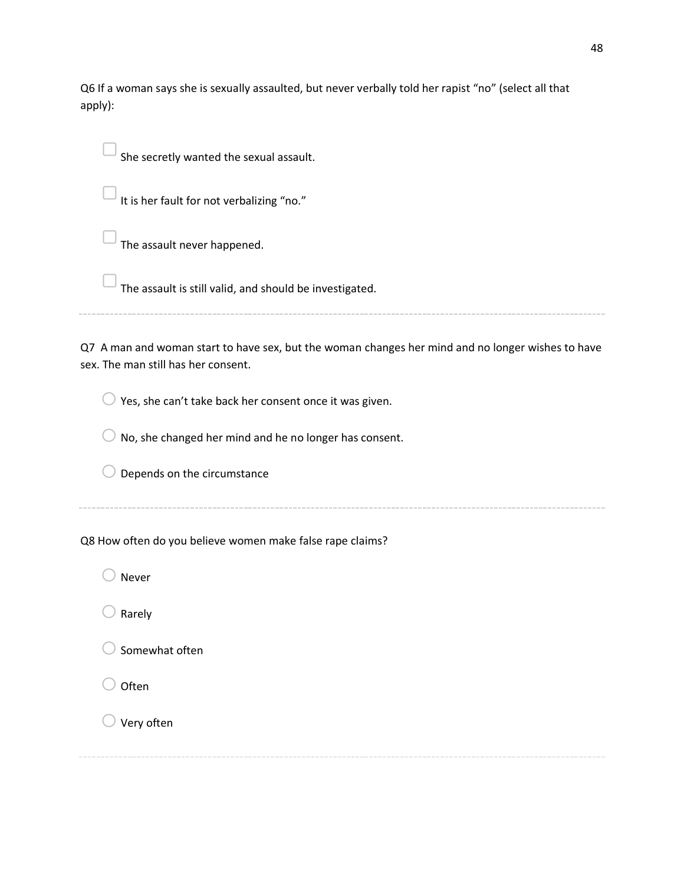Q6 If a woman says she is sexually assaulted, but never verbally told her rapist "no" (select all that apply):

She secretly wanted the sexual assault.

It is her fault for not verbalizing "no."

The assault never happened.

▢The assault is still valid, and should be investigated.

Q7 A man and woman start to have sex, but the woman changes her mind and no longer wishes to have

sex. The man still has her consent.

 $\bigcirc$  Yes, she can't take back her consent once it was given.

 $\bigcirc$  No, she changed her mind and he no longer has consent.

 $\bigcirc$  Depends on the circumstance

Q8 How often do you believe women make false rape claims?

 $\bigcirc$  Never

 $\bigcirc$  Rarely

 $\supset$  Somewhat often

**Often** 

 $\bigcirc$  Very often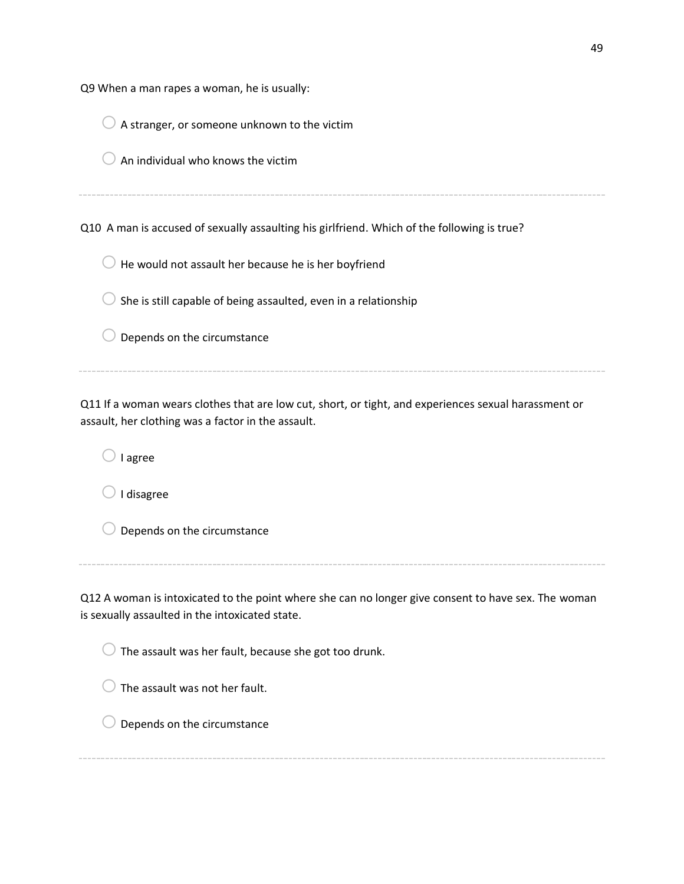|  |  |  |  |  |  | Q9 When a man rapes a woman, he is usually: |  |  |  |  |
|--|--|--|--|--|--|---------------------------------------------|--|--|--|--|
|--|--|--|--|--|--|---------------------------------------------|--|--|--|--|

| A stranger, or someone unknown to the victim                                                                                                               |
|------------------------------------------------------------------------------------------------------------------------------------------------------------|
| An individual who knows the victim                                                                                                                         |
|                                                                                                                                                            |
| Q10 A man is accused of sexually assaulting his girlfriend. Which of the following is true?                                                                |
| He would not assault her because he is her boyfriend                                                                                                       |
| She is still capable of being assaulted, even in a relationship                                                                                            |
| Depends on the circumstance                                                                                                                                |
|                                                                                                                                                            |
| Q11 If a woman wears clothes that are low cut, short, or tight, and experiences sexual harassment or<br>assault, her clothing was a factor in the assault. |

 $\bigcirc$  I agree

 $\bigcirc$  I disagree

 $\bigcirc$  Depends on the circumstance

Q12 A woman is intoxicated to the point where she can no longer give consent to have sex. The woman is sexually assaulted in the intoxicated state.

 $\bigcirc$  The assault was her fault, because she got too drunk.

 $\bigcirc$  The assault was not her fault.

 $\bigcirc$  Depends on the circumstance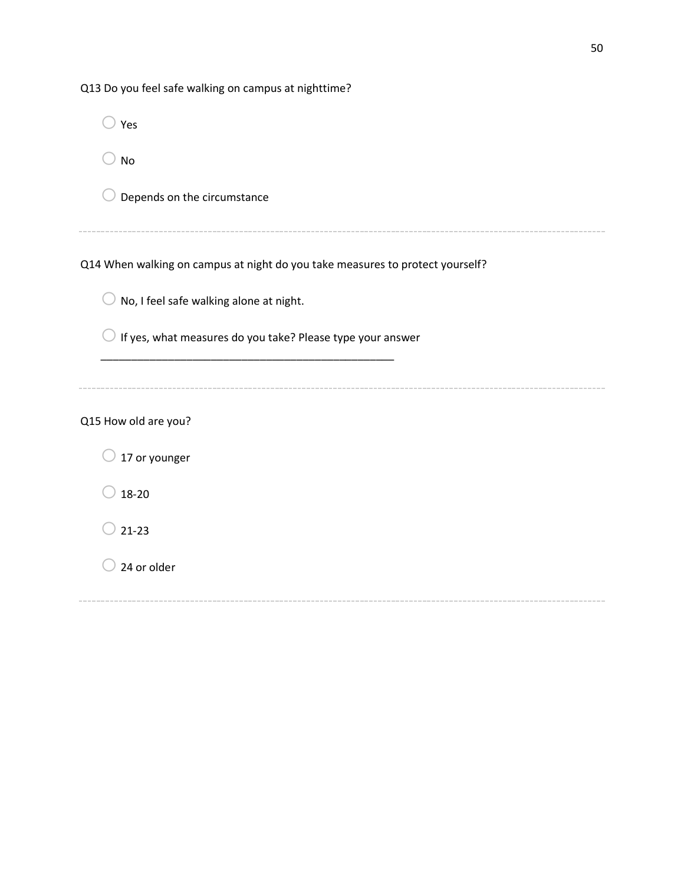| Q13 Do you feel safe walking on campus at nighttime?                          |
|-------------------------------------------------------------------------------|
| Yes                                                                           |
| <b>No</b>                                                                     |
| Depends on the circumstance                                                   |
|                                                                               |
| Q14 When walking on campus at night do you take measures to protect yourself? |
| No, I feel safe walking alone at night.                                       |
| If yes, what measures do you take? Please type your answer                    |
|                                                                               |
| Q15 How old are you?                                                          |
| 17 or younger                                                                 |
| $18 - 20$                                                                     |
| $21 - 23$                                                                     |
| 24 or older                                                                   |
|                                                                               |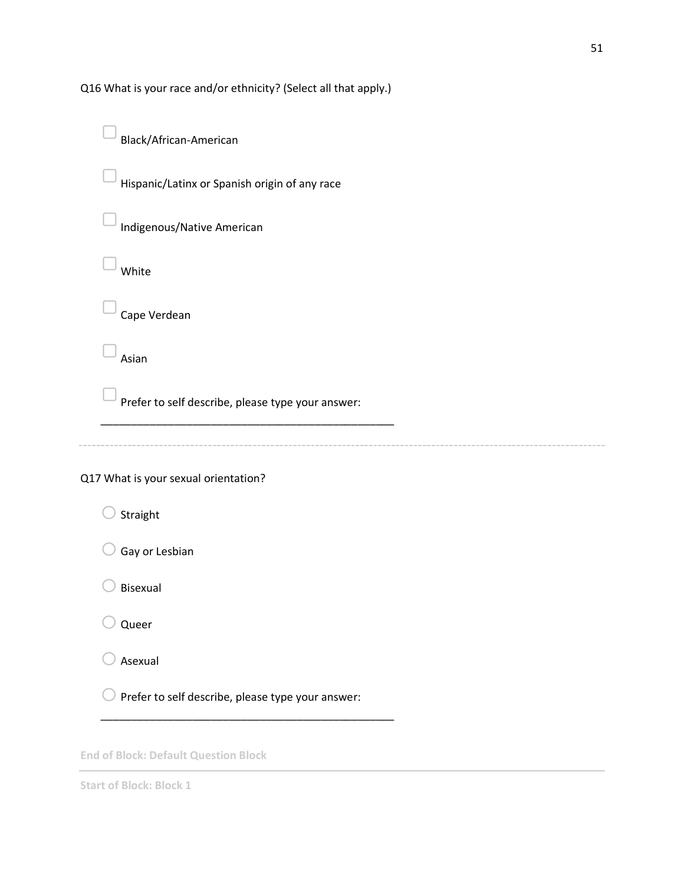Q16 What is your race and/or ethnicity? (Select all that apply.)



**End of Block: Default Question Block**

**Start of Block: Block 1**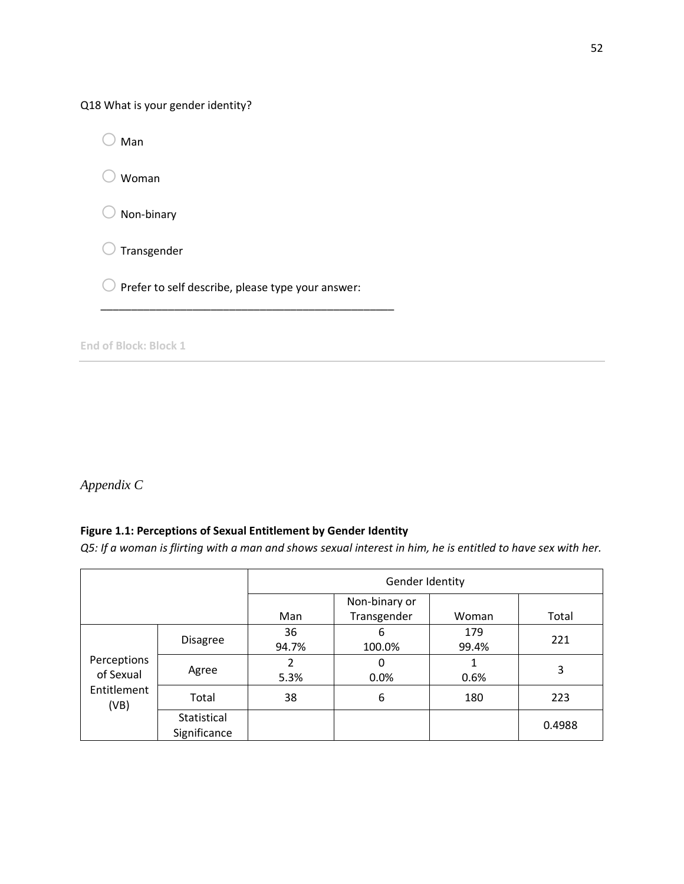Q18 What is your gender identity?

 $\bigcirc$  Man

 $\bigcirc$  Woman

 $\bigcirc$  Non-binary

 $\bigcirc$  Transgender

 $\bigcirc$  Prefer to self describe, please type your answer:

\_\_\_\_\_\_\_\_\_\_\_\_\_\_\_\_\_\_\_\_\_\_\_\_\_\_\_\_\_\_\_\_\_\_\_\_\_\_\_\_\_\_\_\_\_\_\_\_

**End of Block: Block 1**

*Appendix C*

# **Figure 1.1: Perceptions of Sexual Entitlement by Gender Identity**

*Q5: If a woman is flirting with a man and shows sexual interest in him, he is entitled to have sex with her.*

|                                                 |                             | Gender Identity |                              |              |        |
|-------------------------------------------------|-----------------------------|-----------------|------------------------------|--------------|--------|
|                                                 |                             | Man             | Non-binary or<br>Transgender | Woman        | Total  |
| Perceptions<br>of Sexual<br>Entitlement<br>(VB) | <b>Disagree</b>             | 36<br>94.7%     | 6<br>100.0%                  | 179<br>99.4% | 221    |
|                                                 | Agree                       | 2<br>5.3%       | 0<br>0.0%                    | 1<br>0.6%    | 3      |
|                                                 | Total                       | 38              | 6                            | 180          | 223    |
|                                                 | Statistical<br>Significance |                 |                              |              | 0.4988 |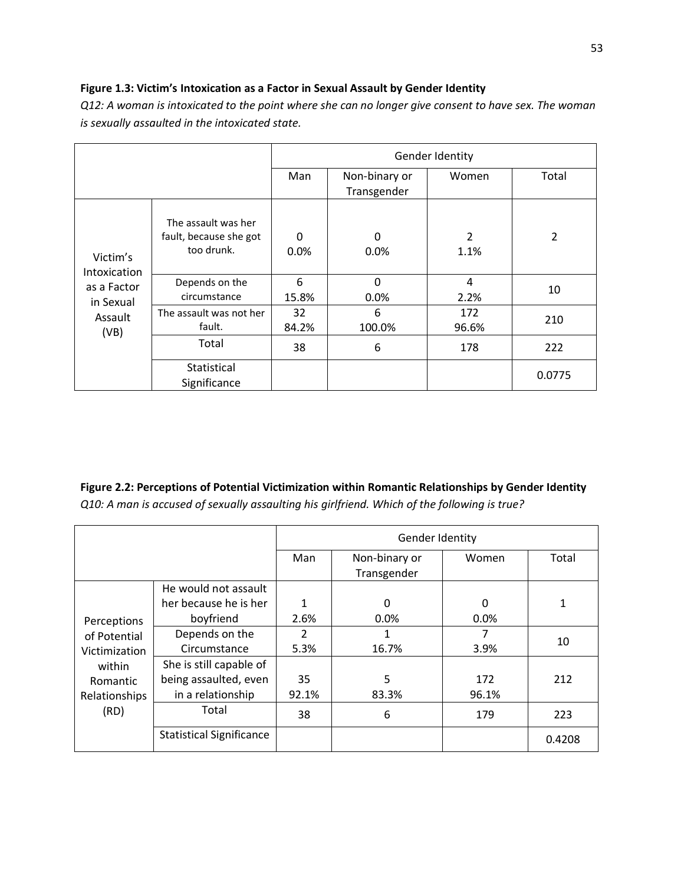# **Figure 1.3: Victim's Intoxication as a Factor in Sexual Assault by Gender Identity**

| is sexually assuuncu in the intexicuted state.                          |                                                             |                      |                              |                        |                |  |  |
|-------------------------------------------------------------------------|-------------------------------------------------------------|----------------------|------------------------------|------------------------|----------------|--|--|
|                                                                         |                                                             | Gender Identity      |                              |                        |                |  |  |
|                                                                         |                                                             | Man                  | Non-binary or<br>Transgender | Women                  | Total          |  |  |
| Victim's<br>Intoxication<br>as a Factor<br>in Sexual<br>Assault<br>(VB) | The assault was her<br>fault, because she got<br>too drunk. | $\mathbf{0}$<br>0.0% | 0<br>0.0%                    | $\overline{2}$<br>1.1% | $\overline{2}$ |  |  |
|                                                                         | Depends on the<br>circumstance                              | 6<br>15.8%           | $\Omega$<br>0.0%             | $\overline{4}$<br>2.2% | 10             |  |  |
|                                                                         | The assault was not her<br>fault.                           | 32<br>84.2%          | 6<br>100.0%                  | 172<br>96.6%           | 210            |  |  |
|                                                                         | Total                                                       | 38                   | 6                            | 178                    | 222            |  |  |
|                                                                         | Statistical<br>Significance                                 |                      |                              |                        | 0.0775         |  |  |

*Q12: A woman is intoxicated to the point where she can no longer give consent to have sex. The woman is sexually assaulted in the intoxicated state.*

# **Figure 2.2: Perceptions of Potential Victimization within Romantic Relationships by Gender Identity** *Q10: A man is accused of sexually assaulting his girlfriend. Which of the following is true?*

|                               |                                 | Gender Identity |               |       |        |
|-------------------------------|---------------------------------|-----------------|---------------|-------|--------|
|                               |                                 | Man             | Non-binary or | Women | Total  |
|                               |                                 |                 | Transgender   |       |        |
|                               | He would not assault            |                 |               |       |        |
|                               | her because he is her           | 1               | 0             | 0     | 1      |
| Perceptions                   | boyfriend                       | 2.6%            | $0.0\%$       | 0.0%  |        |
| of Potential<br>Victimization | Depends on the                  | $\mathfrak{p}$  | 1             |       |        |
|                               | Circumstance                    | 5.3%            | 16.7%         | 3.9%  | 10     |
| within                        | She is still capable of         |                 |               |       |        |
| Romantic                      | being assaulted, even           | 35              | 5             | 172   | 212    |
| Relationships<br>(RD)         | in a relationship               | 92.1%           | 83.3%         | 96.1% |        |
|                               | Total                           | 38              | 6             | 179   | 223    |
|                               | <b>Statistical Significance</b> |                 |               |       | 0.4208 |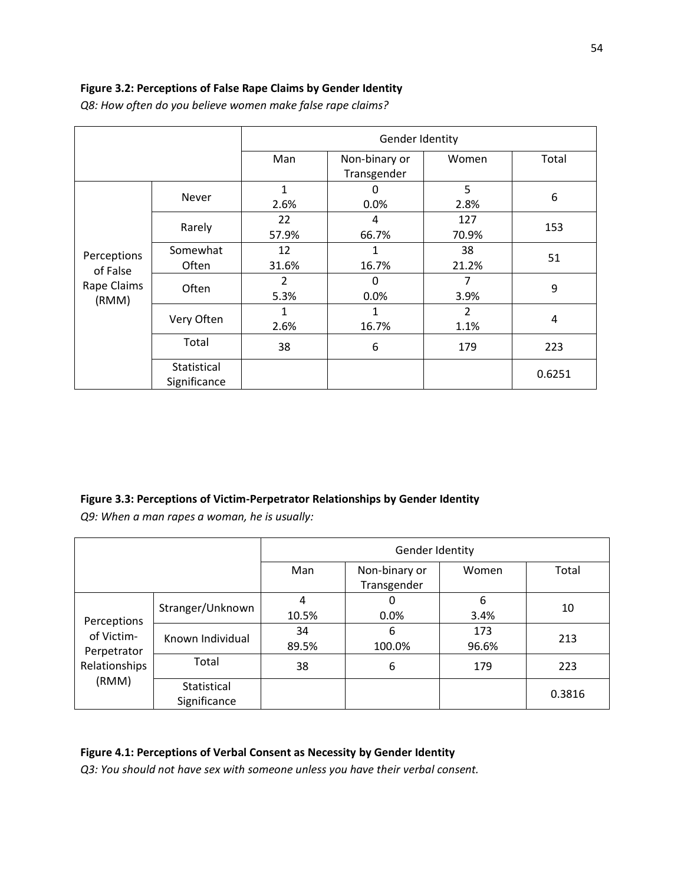# **Figure 3.2: Perceptions of False Rape Claims by Gender Identity**

|                                                 |                             | Gender Identity |                              |                        |        |
|-------------------------------------------------|-----------------------------|-----------------|------------------------------|------------------------|--------|
|                                                 |                             | Man             | Non-binary or<br>Transgender | Women                  | Total  |
| Perceptions<br>of False<br>Rape Claims<br>(RMM) | Never                       | 1<br>2.6%       | 0<br>0.0%                    | 5<br>2.8%              | 6      |
|                                                 | Rarely                      | 22<br>57.9%     | 4<br>66.7%                   | 127<br>70.9%           | 153    |
|                                                 | Somewhat<br>Often           | 12<br>31.6%     | 16.7%                        | 38<br>21.2%            | 51     |
|                                                 | Often                       | 2<br>5.3%       | 0<br>0.0%                    | 7<br>3.9%              | 9      |
|                                                 | Very Often                  | 1<br>2.6%       | 16.7%                        | $\overline{2}$<br>1.1% | 4      |
|                                                 | Total                       | 38              | 6                            | 179                    | 223    |
|                                                 | Statistical<br>Significance |                 |                              |                        | 0.6251 |

*Q8: How often do you believe women make false rape claims?*

# **Figure 3.3: Perceptions of Victim-Perpetrator Relationships by Gender Identity**

*Q9: When a man rapes a woman, he is usually:*

|                                                                    |                             | Gender Identity |                              |              |        |
|--------------------------------------------------------------------|-----------------------------|-----------------|------------------------------|--------------|--------|
|                                                                    |                             | Man             | Non-binary or<br>Transgender | Women        | Total  |
| Perceptions<br>of Victim-<br>Perpetrator<br>Relationships<br>(RMM) | Stranger/Unknown            | 4<br>10.5%      | 0<br>0.0%                    | 6<br>3.4%    | 10     |
|                                                                    | Known Individual            | 34<br>89.5%     | 6<br>100.0%                  | 173<br>96.6% | 213    |
|                                                                    | Total                       | 38              | 6                            | 179          | 223    |
|                                                                    | Statistical<br>Significance |                 |                              |              | 0.3816 |

# **Figure 4.1: Perceptions of Verbal Consent as Necessity by Gender Identity**

*Q3: You should not have sex with someone unless you have their verbal consent.*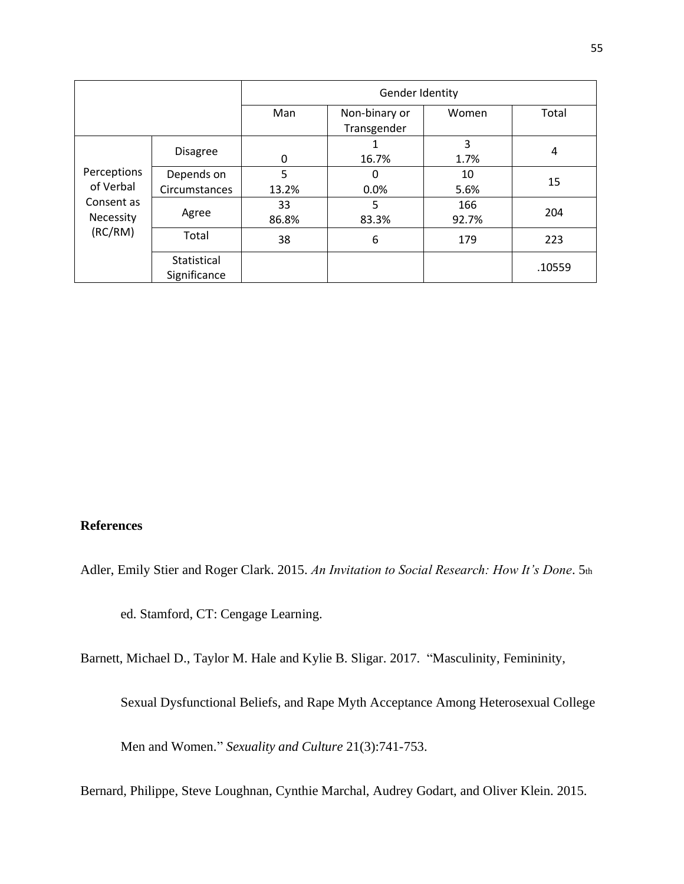|                                                                |                             | Gender Identity |                              |              |        |
|----------------------------------------------------------------|-----------------------------|-----------------|------------------------------|--------------|--------|
|                                                                |                             | Man             | Non-binary or<br>Transgender | Women        | Total  |
| Perceptions<br>of Verbal<br>Consent as<br>Necessity<br>(RC/RM) | <b>Disagree</b>             | 0               | 16.7%                        | 3<br>1.7%    | 4      |
|                                                                | Depends on<br>Circumstances | 5<br>13.2%      | 0<br>0.0%                    | 10<br>5.6%   | 15     |
|                                                                | Agree                       | 33<br>86.8%     | 5<br>83.3%                   | 166<br>92.7% | 204    |
|                                                                | Total                       | 38              | 6                            | 179          | 223    |
|                                                                | Statistical<br>Significance |                 |                              |              | .10559 |

# **References**

Adler, Emily Stier and Roger Clark. 2015. *An Invitation to Social Research: How It's Done*. 5th

ed. Stamford, CT: Cengage Learning.

Barnett, Michael D., Taylor M. Hale and Kylie B. Sligar. 2017. "Masculinity, Femininity,

Sexual Dysfunctional Beliefs, and Rape Myth Acceptance Among Heterosexual College

Men and Women." *Sexuality and Culture* 21(3):741-753.

Bernard, Philippe, Steve Loughnan, Cynthie Marchal, Audrey Godart, and Oliver Klein. 2015.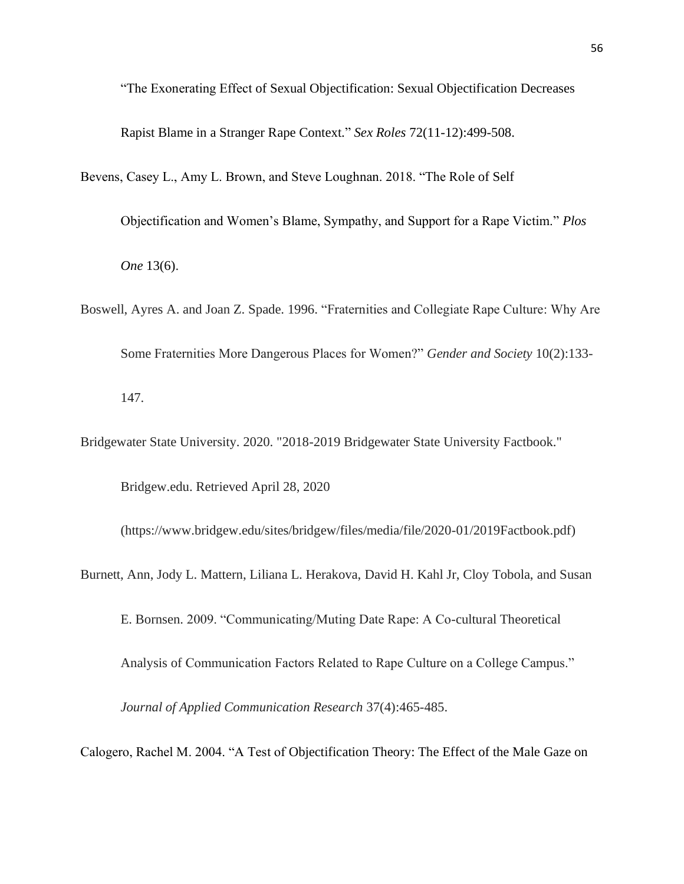"The Exonerating Effect of Sexual Objectification: Sexual Objectification Decreases

Rapist Blame in a Stranger Rape Context." *Sex Roles* 72(11-12):499-508.

- Bevens, Casey L., Amy L. Brown, and Steve Loughnan. 2018. "The Role of Self
	- Objectification and Women's Blame, Sympathy, and Support for a Rape Victim." *Plos One* 13(6).
- Boswell, Ayres A. and Joan Z. Spade. 1996. "Fraternities and Collegiate Rape Culture: Why Are Some Fraternities More Dangerous Places for Women?" *Gender and Society* 10(2):133- 147.
- Bridgewater State University. 2020. "2018-2019 Bridgewater State University Factbook."

Bridgew.edu. Retrieved April 28, 2020

(https://www.bridgew.edu/sites/bridgew/files/media/file/2020-01/2019Factbook.pdf)

Burnett, Ann, Jody L. Mattern, Liliana L. Herakova, David H. Kahl Jr, Cloy Tobola, and Susan

E. Bornsen. 2009. "Communicating/Muting Date Rape: A Co-cultural Theoretical

Analysis of Communication Factors Related to Rape Culture on a College Campus."

*Journal of Applied Communication Research* 37(4):465-485.

Calogero, Rachel M. 2004. "A Test of Objectification Theory: The Effect of the Male Gaze on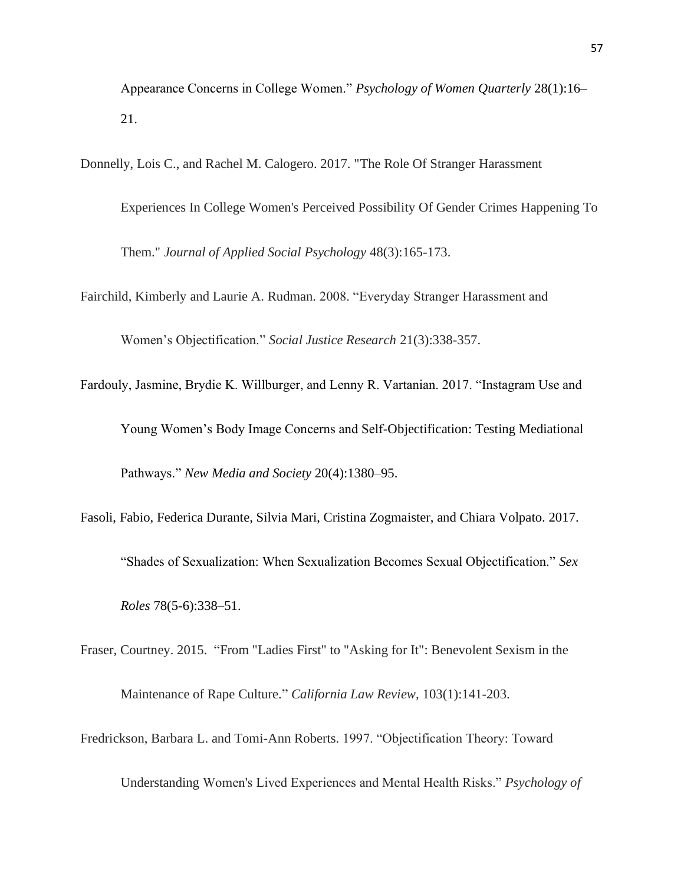Appearance Concerns in College Women." *Psychology of Women Quarterly* 28(1):16– 21.

Donnelly, Lois C., and Rachel M. Calogero. 2017. "The Role Of Stranger Harassment

Experiences In College Women's Perceived Possibility Of Gender Crimes Happening To Them." *Journal of Applied Social Psychology* 48(3):165-173.

Fairchild, Kimberly and Laurie A. Rudman. 2008. "Everyday Stranger Harassment and

Women's Objectification." *Social Justice Research* 21(3):338-357.

Fardouly, Jasmine, Brydie K. Willburger, and Lenny R. Vartanian. 2017. "Instagram Use and Young Women's Body Image Concerns and Self-Objectification: Testing Mediational Pathways." *New Media and Society* 20(4):1380–95.

- Fasoli, Fabio, Federica Durante, Silvia Mari, Cristina Zogmaister, and Chiara Volpato. 2017. "Shades of Sexualization: When Sexualization Becomes Sexual Objectification." *Sex Roles* 78(5-6):338–51.
- Fraser, Courtney. 2015. "From "Ladies First" to "Asking for It": Benevolent Sexism in the Maintenance of Rape Culture." *California Law Review,* 103(1):141-203.
- Fredrickson, Barbara L. and Tomi-Ann Roberts. 1997. "Objectification Theory: Toward

Understanding Women's Lived Experiences and Mental Health Risks." *Psychology of*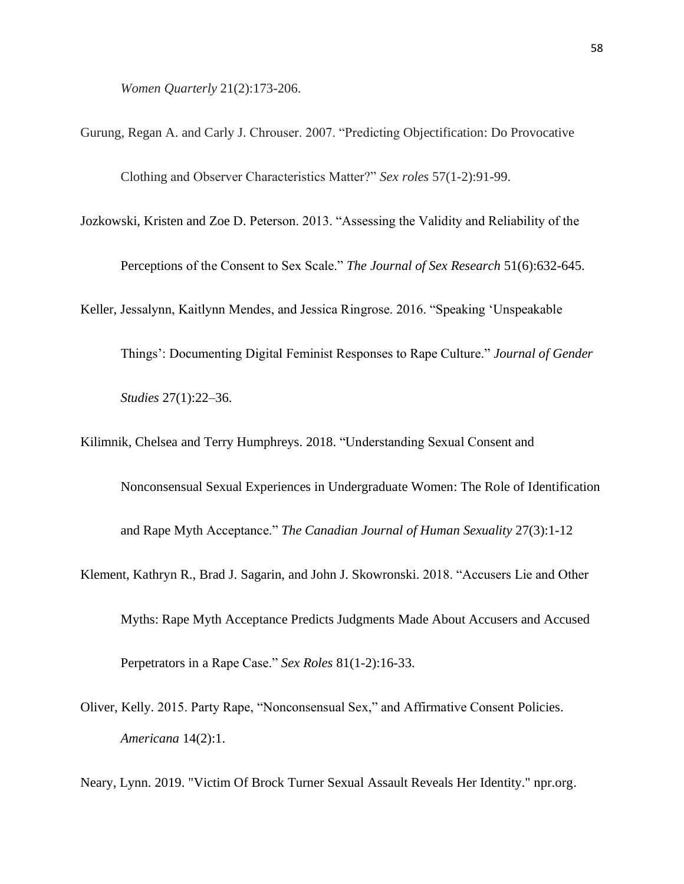*Women Quarterly* 21(2):173-206.

- Gurung, Regan A. and Carly J. Chrouser. 2007. "Predicting Objectification: Do Provocative Clothing and Observer Characteristics Matter?" *Sex roles* 57(1-2):91-99.
- Jozkowski, Kristen and Zoe D. Peterson. 2013. "Assessing the Validity and Reliability of the

Perceptions of the Consent to Sex Scale." *The Journal of Sex Research* 51(6):632-645.

Keller, Jessalynn, Kaitlynn Mendes, and Jessica Ringrose. 2016. "Speaking 'Unspeakable

Things': Documenting Digital Feminist Responses to Rape Culture." *Journal of Gender*

*Studies* 27(1):22–36.

Kilimnik, Chelsea and Terry Humphreys. 2018. "Understanding Sexual Consent and

Nonconsensual Sexual Experiences in Undergraduate Women: The Role of Identification

and Rape Myth Acceptance." *The Canadian Journal of Human Sexuality* 27(3):1-12

- Klement, Kathryn R., Brad J. Sagarin, and John J. Skowronski. 2018. "Accusers Lie and Other Myths: Rape Myth Acceptance Predicts Judgments Made About Accusers and Accused Perpetrators in a Rape Case." *Sex Roles* 81(1-2):16-33.
- Oliver, Kelly. 2015. Party Rape, "Nonconsensual Sex," and Affirmative Consent Policies. *Americana* 14(2):1.

Neary, Lynn. 2019. "Victim Of Brock Turner Sexual Assault Reveals Her Identity." npr.org.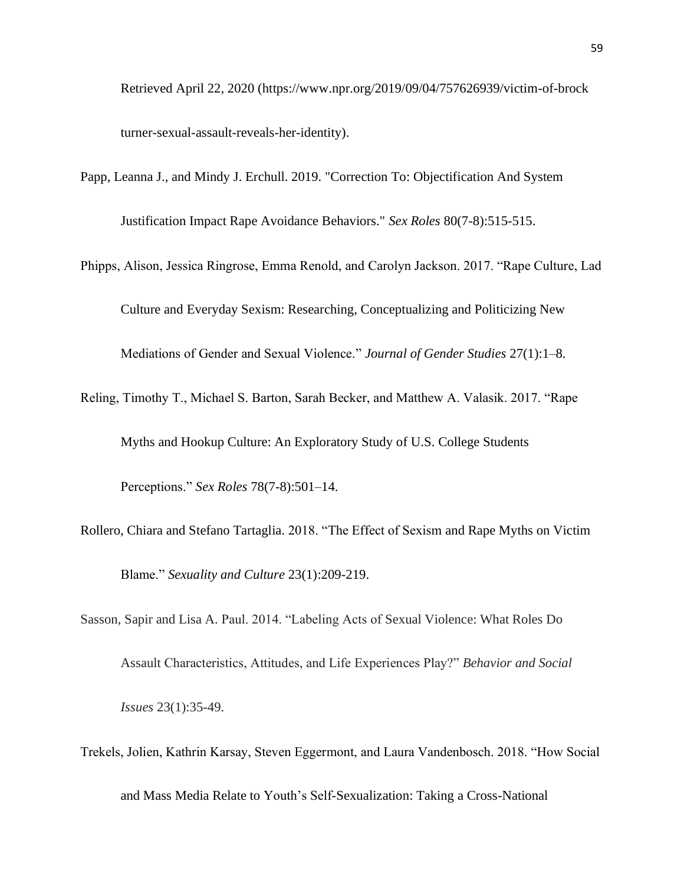Retrieved April 22, 2020 (https://www.npr.org/2019/09/04/757626939/victim-of-brock turner-sexual-assault-reveals-her-identity).

- Papp, Leanna J., and Mindy J. Erchull. 2019. "Correction To: Objectification And System Justification Impact Rape Avoidance Behaviors." *Sex Roles* 80(7-8):515-515.
- Phipps, Alison, Jessica Ringrose, Emma Renold, and Carolyn Jackson. 2017. "Rape Culture, Lad Culture and Everyday Sexism: Researching, Conceptualizing and Politicizing New

Mediations of Gender and Sexual Violence." *Journal of Gender Studies* 27(1):1–8.

Reling, Timothy T., Michael S. Barton, Sarah Becker, and Matthew A. Valasik. 2017. "Rape

Myths and Hookup Culture: An Exploratory Study of U.S. College Students

Perceptions." *Sex Roles* 78(7-8):501–14.

- Rollero, Chiara and Stefano Tartaglia. 2018. "The Effect of Sexism and Rape Myths on Victim Blame." *Sexuality and Culture* 23(1):209-219.
- Sasson, Sapir and Lisa A. Paul. 2014. "Labeling Acts of Sexual Violence: What Roles Do Assault Characteristics, Attitudes, and Life Experiences Play?" *Behavior and Social Issues* 23(1):35-49.
- Trekels, Jolien, Kathrin Karsay, Steven Eggermont, and Laura Vandenbosch. 2018. "How Social

and Mass Media Relate to Youth's Self-Sexualization: Taking a Cross-National